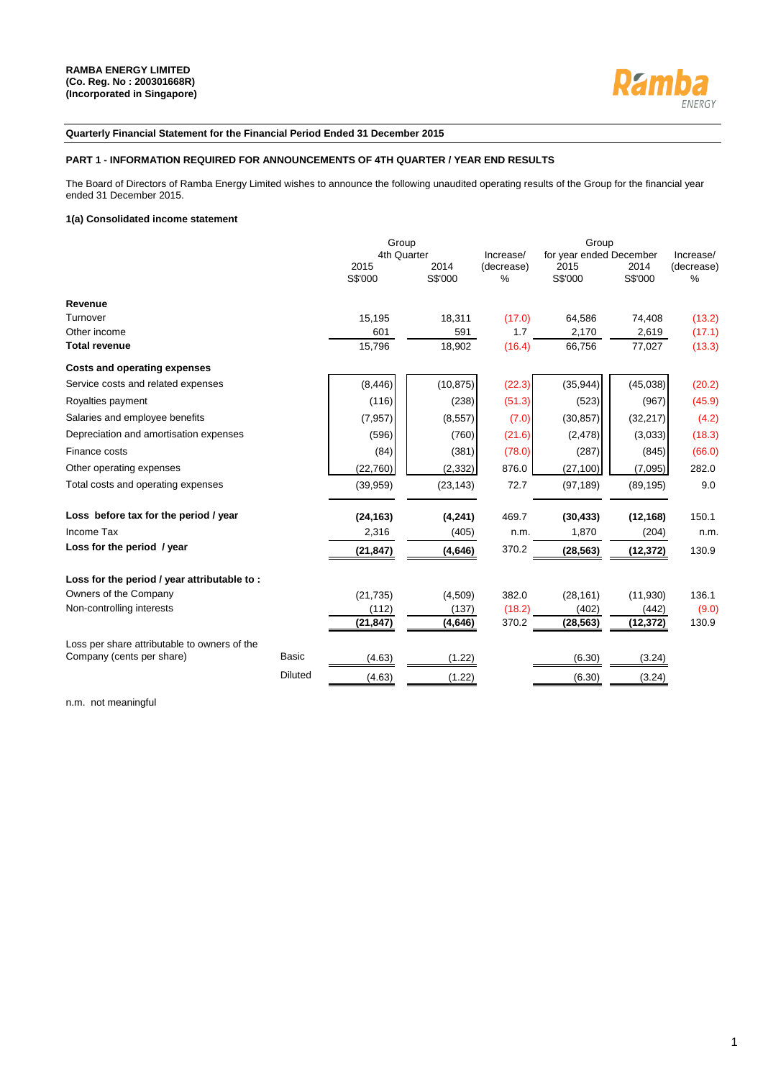

### **Quarterly Financial Statement for the Financial Period Ended 31 December 2015**

### **PART 1 - INFORMATION REQUIRED FOR ANNOUNCEMENTS OF 4TH QUARTER / YEAR END RESULTS**

The Board of Directors of Ramba Energy Limited wishes to announce the following unaudited operating results of the Group for the financial year ended 31 December 2015.

### **1(a) Consolidated income statement**

|                                              |                | Group           |                 |                    |                         |                 |                    |
|----------------------------------------------|----------------|-----------------|-----------------|--------------------|-------------------------|-----------------|--------------------|
|                                              |                | 4th Quarter     |                 | Increase/          | for year ended December |                 | Increase/          |
|                                              |                | 2015<br>S\$'000 | 2014<br>S\$'000 | (decrease)<br>$\%$ | 2015<br>S\$'000         | 2014<br>S\$'000 | (decrease)<br>$\%$ |
|                                              |                |                 |                 |                    |                         |                 |                    |
| Revenue                                      |                |                 |                 |                    |                         |                 |                    |
| Turnover                                     |                | 15,195          | 18,311          | (17.0)             | 64,586                  | 74,408          | (13.2)             |
| Other income                                 |                | 601             | 591             | 1.7                | 2,170                   | 2,619           | (17.1)             |
| <b>Total revenue</b>                         |                | 15.796          | 18,902          | (16.4)             | 66,756                  | 77,027          | (13.3)             |
| Costs and operating expenses                 |                |                 |                 |                    |                         |                 |                    |
| Service costs and related expenses           |                | (8, 446)        | (10, 875)       | (22.3)             | (35, 944)               | (45,038)        | (20.2)             |
| Royalties payment                            |                | (116)           | (238)           | (51.3)             | (523)                   | (967)           | (45.9)             |
| Salaries and employee benefits               |                | (7, 957)        | (8,557)         | (7.0)              | (30, 857)               | (32, 217)       | (4.2)              |
| Depreciation and amortisation expenses       |                | (596)           | (760)           | (21.6)             | (2, 478)                | (3,033)         | (18.3)             |
| Finance costs                                |                | (84)            | (381)           | (78.0)             | (287)                   | (845)           | (66.0)             |
| Other operating expenses                     |                | (22, 760)       | (2, 332)        | 876.0              | (27, 100)               | (7,095)         | 282.0              |
| Total costs and operating expenses           |                | (39, 959)       | (23, 143)       | 72.7               | (97, 189)               | (89, 195)       | 9.0                |
| Loss before tax for the period / year        |                | (24, 163)       | (4,241)         | 469.7              | (30, 433)               | (12, 168)       | 150.1              |
| Income Tax                                   |                | 2,316           | (405)           | n.m.               | 1,870                   | (204)           | n.m.               |
| Loss for the period / year                   |                | (21, 847)       | (4,646)         | 370.2              | (28, 563)               | (12, 372)       | 130.9              |
| Loss for the period / year attributable to : |                |                 |                 |                    |                         |                 |                    |
| Owners of the Company                        |                | (21, 735)       | (4,509)         | 382.0              | (28, 161)               | (11,930)        | 136.1              |
| Non-controlling interests                    |                | (112)           | (137)           | (18.2)             | (402)                   | (442)           | (9.0)              |
|                                              |                | (21,847)        | (4,646)         | 370.2              | (28, 563)               | (12,372)        | 130.9              |
| Loss per share attributable to owners of the |                |                 |                 |                    |                         |                 |                    |
| Company (cents per share)                    | <b>Basic</b>   | (4.63)          | (1.22)          |                    | (6.30)                  | (3.24)          |                    |
|                                              | <b>Diluted</b> | (4.63)          | (1.22)          |                    | (6.30)                  | (3.24)          |                    |

n.m. not meaningful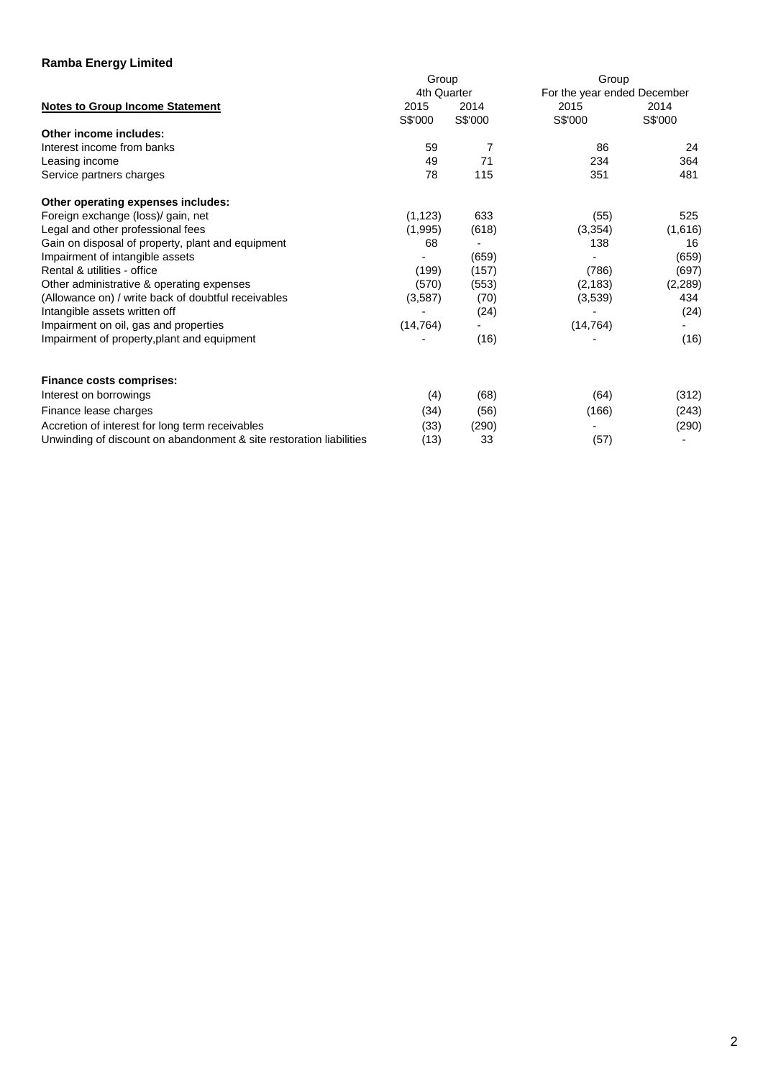|                                                                     | Group       |         | Group                       |         |  |  |
|---------------------------------------------------------------------|-------------|---------|-----------------------------|---------|--|--|
|                                                                     | 4th Quarter |         | For the year ended December |         |  |  |
| <b>Notes to Group Income Statement</b>                              | 2015        | 2014    | 2015                        | 2014    |  |  |
|                                                                     | S\$'000     | S\$'000 | S\$'000                     | S\$'000 |  |  |
| Other income includes:                                              |             |         |                             |         |  |  |
| Interest income from banks                                          | 59          | 7       | 86                          | 24      |  |  |
| Leasing income                                                      | 49          | 71      | 234                         | 364     |  |  |
| Service partners charges                                            | 78          | 115     | 351                         | 481     |  |  |
| Other operating expenses includes:                                  |             |         |                             |         |  |  |
| Foreign exchange (loss)/ gain, net                                  | (1, 123)    | 633     | (55)                        | 525     |  |  |
| Legal and other professional fees                                   | (1,995)     | (618)   | (3, 354)                    | (1,616) |  |  |
| Gain on disposal of property, plant and equipment                   | 68          |         | 138                         | 16      |  |  |
| Impairment of intangible assets                                     |             | (659)   |                             | (659)   |  |  |
| Rental & utilities - office                                         | (199)       | (157)   | (786)                       | (697)   |  |  |
| Other administrative & operating expenses                           | (570)       | (553)   | (2, 183)                    | (2,289) |  |  |
| (Allowance on) / write back of doubtful receivables                 | (3,587)     | (70)    | (3,539)                     | 434     |  |  |
| Intangible assets written off                                       |             | (24)    |                             | (24)    |  |  |
| Impairment on oil, gas and properties                               | (14, 764)   |         | (14, 764)                   |         |  |  |
| Impairment of property, plant and equipment                         |             | (16)    |                             | (16)    |  |  |
| <b>Finance costs comprises:</b>                                     |             |         |                             |         |  |  |
| Interest on borrowings                                              | (4)         | (68)    | (64)                        | (312)   |  |  |
| Finance lease charges                                               | (34)        | (56)    | (166)                       | (243)   |  |  |
| Accretion of interest for long term receivables                     | (33)        | (290)   |                             | (290)   |  |  |
| Unwinding of discount on abandonment & site restoration liabilities | (13)        | 33      | (57)                        |         |  |  |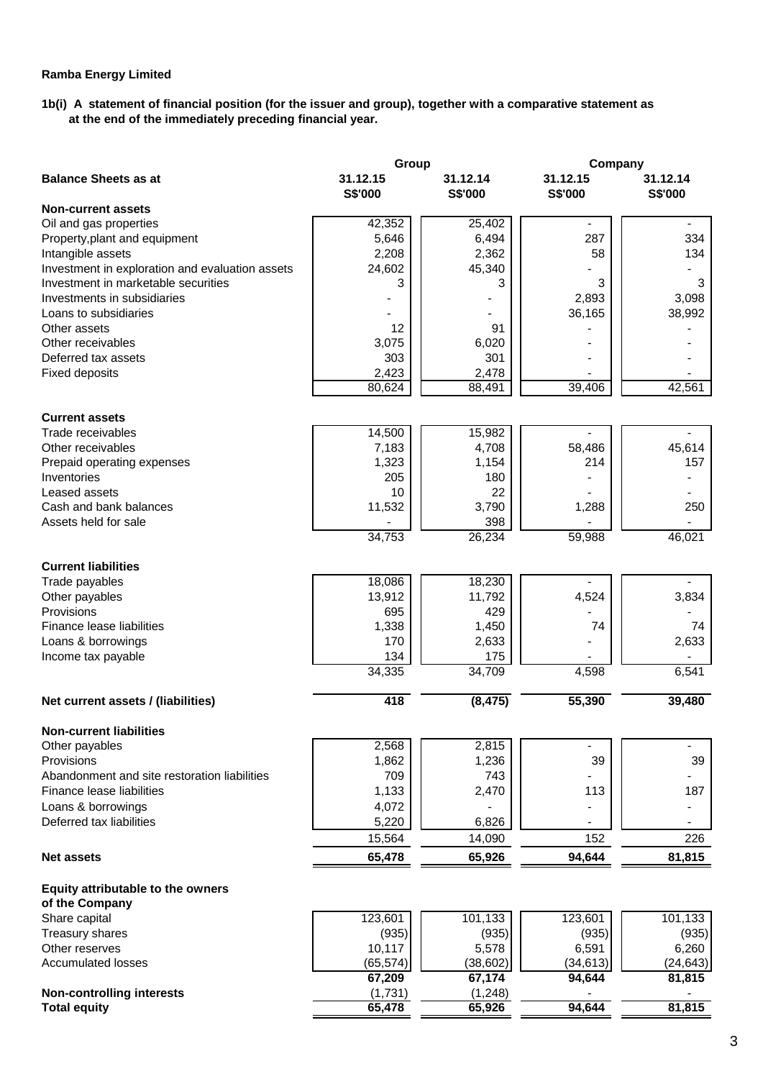### **1b(i) A statement of financial position (for the issuer and group), together with a comparative statement as at the end of the immediately preceding financial year.**

|                                                     | Group               |                     | Company             |                            |  |
|-----------------------------------------------------|---------------------|---------------------|---------------------|----------------------------|--|
| <b>Balance Sheets as at</b>                         | 31.12.15<br>S\$'000 | 31.12.14<br>S\$'000 | 31.12.15<br>S\$'000 | 31.12.14<br><b>S\$'000</b> |  |
| <b>Non-current assets</b>                           |                     |                     |                     |                            |  |
| Oil and gas properties                              | 42,352              | 25,402              | $\blacksquare$      | $\blacksquare$             |  |
| Property, plant and equipment                       | 5,646               | 6,494               | 287                 | 334                        |  |
| Intangible assets                                   | 2,208               | 2,362               | 58                  | 134                        |  |
| Investment in exploration and evaluation assets     | 24,602              | 45,340              |                     |                            |  |
| Investment in marketable securities                 | 3                   | 3                   | 3                   | 3                          |  |
| Investments in subsidiaries                         |                     |                     | 2,893               | 3,098                      |  |
| Loans to subsidiaries                               |                     |                     | 36,165              | 38,992                     |  |
| Other assets                                        | 12                  | 91                  |                     |                            |  |
| Other receivables                                   | 3,075               | 6,020               |                     |                            |  |
| Deferred tax assets                                 | 303                 | 301                 |                     |                            |  |
| <b>Fixed deposits</b>                               | 2,423<br>80,624     | 2,478<br>88,491     | 39,406              | 42,561                     |  |
|                                                     |                     |                     |                     |                            |  |
| <b>Current assets</b>                               |                     |                     |                     |                            |  |
| Trade receivables                                   | 14,500              | 15,982              |                     |                            |  |
| Other receivables                                   | 7,183               | 4,708               | 58,486              | 45,614                     |  |
| Prepaid operating expenses                          | 1,323               | 1,154               | 214                 | 157                        |  |
| Inventories                                         | 205                 | 180                 |                     |                            |  |
| Leased assets                                       | 10                  | 22                  |                     |                            |  |
| Cash and bank balances                              | 11,532              | 3,790               | 1,288               | 250                        |  |
| Assets held for sale                                |                     | 398                 |                     |                            |  |
|                                                     | 34,753              | 26,234              | 59,988              | 46,021                     |  |
| <b>Current liabilities</b>                          |                     |                     |                     |                            |  |
| Trade payables                                      | 18,086              | 18,230              |                     |                            |  |
| Other payables                                      | 13,912              | 11,792              | 4,524               | 3,834                      |  |
| Provisions                                          | 695                 | 429                 |                     |                            |  |
| Finance lease liabilities                           | 1,338               | 1,450               | 74                  | 74                         |  |
| Loans & borrowings                                  | 170                 | 2,633               |                     | 2,633                      |  |
| Income tax payable                                  | 134                 | 175                 |                     |                            |  |
|                                                     | 34,335              | 34,709              | 4,598               | 6,541                      |  |
| Net current assets / (liabilities)                  | 418                 | (8, 475)            | 55,390              | 39,480                     |  |
| Non-current liabilities                             |                     |                     |                     |                            |  |
| Other payables                                      | 2,568               | 2,815               | $\blacksquare$      | $\blacksquare$             |  |
| Provisions                                          | 1,862               | 1,236               | 39                  | 39                         |  |
| Abandonment and site restoration liabilities        | 709                 | 743                 |                     |                            |  |
| Finance lease liabilities                           | 1,133               | 2,470               | 113                 | 187                        |  |
| Loans & borrowings                                  | 4,072               |                     |                     |                            |  |
| Deferred tax liabilities                            | 5,220               | 6,826               |                     |                            |  |
|                                                     | 15,564              | 14,090              | 152                 | 226                        |  |
| <b>Net assets</b>                                   | 65,478              | 65,926              | 94,644              | 81,815                     |  |
|                                                     |                     |                     |                     |                            |  |
| Equity attributable to the owners<br>of the Company |                     |                     |                     |                            |  |
| Share capital                                       | 123,601             | 101,133             | 123,601             | 101,133                    |  |
| Treasury shares                                     | (935)               | (935)               | (935)               | (935)                      |  |
| Other reserves                                      | 10,117              | 5,578               | 6,591               | 6,260                      |  |
| <b>Accumulated losses</b>                           | (65, 574)           | (38, 602)           | (34, 613)           | (24, 643)                  |  |
|                                                     | 67,209              | 67,174              | 94,644              | 81,815                     |  |
| <b>Non-controlling interests</b>                    | (1,731)             | (1,248)             |                     |                            |  |
| <b>Total equity</b>                                 | 65,478              | 65,926              | 94,644              | 81,815                     |  |
|                                                     |                     |                     |                     |                            |  |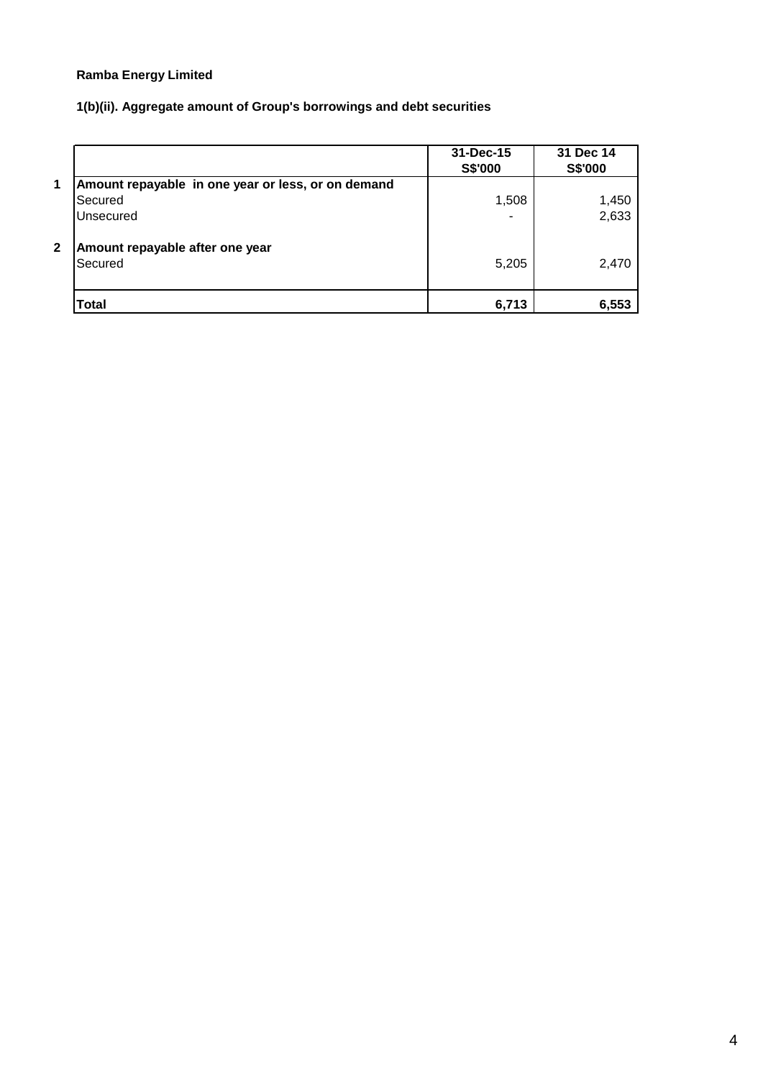# **1(b)(ii). Aggregate amount of Group's borrowings and debt securities**

|              |                                                    | 31-Dec-15<br>S\$'000 | 31 Dec 14<br>S\$'000 |
|--------------|----------------------------------------------------|----------------------|----------------------|
| 1            | Amount repayable in one year or less, or on demand |                      |                      |
|              | Secured                                            | 1,508                | 1,450                |
|              | Unsecured                                          |                      | 2,633                |
| $\mathbf{2}$ | Amount repayable after one year<br>Secured         | 5,205                | 2,470                |
|              | Total                                              | 6,713                | 6,553                |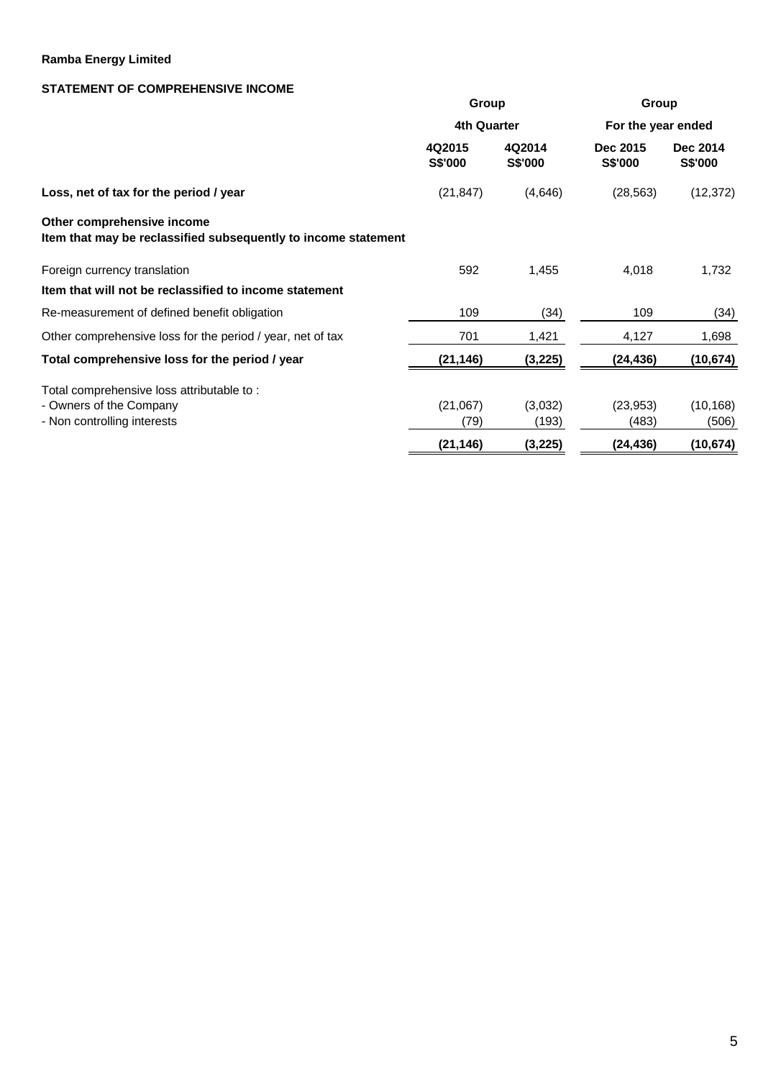# **STATEMENT OF COMPREHENSIVE INCOME**

|                                                                                              | Group                    |                          | Group                      |                            |  |  |
|----------------------------------------------------------------------------------------------|--------------------------|--------------------------|----------------------------|----------------------------|--|--|
|                                                                                              | 4th Quarter              |                          | For the year ended         |                            |  |  |
|                                                                                              | 4Q2015<br><b>S\$'000</b> | 4Q2014<br><b>S\$'000</b> | Dec 2015<br><b>S\$'000</b> | Dec 2014<br><b>S\$'000</b> |  |  |
| Loss, net of tax for the period / year                                                       | (21, 847)                | (4,646)                  | (28, 563)                  | (12, 372)                  |  |  |
| Other comprehensive income<br>Item that may be reclassified subsequently to income statement |                          |                          |                            |                            |  |  |
| Foreign currency translation                                                                 | 592                      | 1,455                    | 4,018                      | 1,732                      |  |  |
| Item that will not be reclassified to income statement                                       |                          |                          |                            |                            |  |  |
| Re-measurement of defined benefit obligation                                                 | 109                      | (34)                     | 109                        | (34)                       |  |  |
| Other comprehensive loss for the period / year, net of tax                                   | 701                      | 1,421                    | 4,127                      | 1,698                      |  |  |
| Total comprehensive loss for the period / year                                               | (21, 146)                | (3, 225)                 | (24, 436)                  | (10, 674)                  |  |  |
| Total comprehensive loss attributable to:                                                    |                          |                          |                            |                            |  |  |
| - Owners of the Company                                                                      | (21,067)                 | (3,032)                  | (23, 953)                  | (10, 168)                  |  |  |
| - Non controlling interests                                                                  | (79)                     | (193)                    | (483)                      | (506)                      |  |  |
|                                                                                              | (21, 146)                | (3,225)                  | (24, 436)                  | (10, 674)                  |  |  |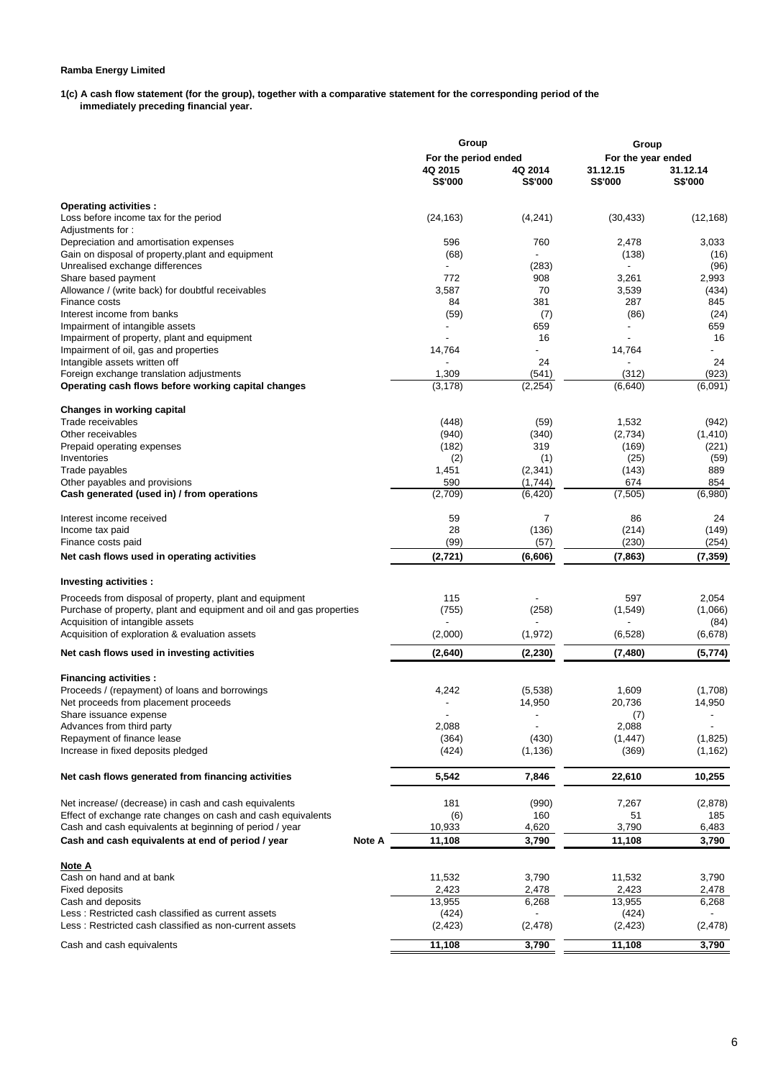**1(c) A cash flow statement (for the group), together with a comparative statement for the corresponding period of the immediately preceding financial year.** 

|                                                                      |                    | Group                |                | Group              |           |  |  |
|----------------------------------------------------------------------|--------------------|----------------------|----------------|--------------------|-----------|--|--|
|                                                                      |                    | For the period ended |                | For the year ended |           |  |  |
|                                                                      | 4Q 2015<br>4Q 2014 |                      |                | 31.12.15           | 31.12.14  |  |  |
|                                                                      |                    | S\$'000              | <b>S\$'000</b> | S\$'000            | S\$'000   |  |  |
| Operating activities :                                               |                    |                      |                |                    |           |  |  |
| Loss before income tax for the period                                |                    | (24, 163)            | (4,241)        | (30, 433)          | (12, 168) |  |  |
| Adjustments for:                                                     |                    |                      |                |                    |           |  |  |
| Depreciation and amortisation expenses                               |                    | 596                  | 760            | 2,478              | 3,033     |  |  |
| Gain on disposal of property, plant and equipment                    |                    | (68)                 |                | (138)              | (16)      |  |  |
| Unrealised exchange differences                                      |                    |                      | (283)          |                    | (96)      |  |  |
| Share based payment                                                  |                    | 772                  | 908            | 3,261              | 2,993     |  |  |
| Allowance / (write back) for doubtful receivables                    |                    | 3,587                | 70             | 3,539              | (434)     |  |  |
| Finance costs                                                        |                    | 84                   | 381            | 287                | 845       |  |  |
| Interest income from banks                                           |                    | (59)                 | (7)            | (86)               | (24)      |  |  |
| Impairment of intangible assets                                      |                    |                      | 659            |                    | 659       |  |  |
| Impairment of property, plant and equipment                          |                    |                      | 16             |                    | 16        |  |  |
|                                                                      |                    |                      |                |                    | $\sim$    |  |  |
| Impairment of oil, gas and properties                                |                    | 14,764               | 24             | 14,764             | 24        |  |  |
| Intangible assets written off                                        |                    |                      |                |                    |           |  |  |
| Foreign exchange translation adjustments                             |                    | 1,309                | (541)          | (312)              | (923)     |  |  |
| Operating cash flows before working capital changes                  |                    | (3, 178)             | (2, 254)       | (6,640)            | (6,091)   |  |  |
| Changes in working capital                                           |                    |                      |                |                    |           |  |  |
| Trade receivables                                                    |                    | (448)                | (59)           | 1,532              | (942)     |  |  |
| Other receivables                                                    |                    | (940)                | (340)          | (2,734)            | (1, 410)  |  |  |
| Prepaid operating expenses                                           |                    | (182)                | 319            | (169)              | (221)     |  |  |
| Inventories                                                          |                    | (2)                  | (1)            | (25)               | (59)      |  |  |
| Trade payables                                                       |                    | 1,451                | (2, 341)       | (143)              | 889       |  |  |
| Other payables and provisions                                        |                    | 590                  | (1,744)        | 674                | 854       |  |  |
| Cash generated (used in) / from operations                           |                    | (2,709)              | (6, 420)       | (7, 505)           | (6,980)   |  |  |
| Interest income received                                             |                    | 59                   | 7              | 86                 | 24        |  |  |
| Income tax paid                                                      |                    | 28                   | (136)          | (214)              | (149)     |  |  |
| Finance costs paid                                                   |                    | (99)                 | (57)           | (230)              | (254)     |  |  |
| Net cash flows used in operating activities                          |                    | (2, 721)             | (6,606)        | (7, 863)           | (7, 359)  |  |  |
|                                                                      |                    |                      |                |                    |           |  |  |
| Investing activities :                                               |                    |                      |                |                    |           |  |  |
| Proceeds from disposal of property, plant and equipment              |                    | 115                  |                | 597                | 2,054     |  |  |
| Purchase of property, plant and equipment and oil and gas properties |                    | (755)                | (258)          | (1, 549)           | (1,066)   |  |  |
| Acquisition of intangible assets                                     |                    |                      |                |                    | (84)      |  |  |
| Acquisition of exploration & evaluation assets                       |                    | (2,000)              | (1, 972)       | (6, 528)           | (6,678)   |  |  |
| Net cash flows used in investing activities                          |                    | (2,640)              | (2, 230)       | (7, 480)           | (5,774)   |  |  |
| <b>Financing activities:</b>                                         |                    |                      |                |                    |           |  |  |
| Proceeds / (repayment) of loans and borrowings                       |                    | 4,242                | (5,538)        | 1,609              | (1,708)   |  |  |
| Net proceeds from placement proceeds                                 |                    |                      | 14,950         | 20,736             | 14,950    |  |  |
| Share issuance expense                                               |                    |                      |                | (7)                |           |  |  |
| Advances from third party                                            |                    | 2,088                |                | 2,088              |           |  |  |
| Repayment of finance lease                                           |                    | (364)                | (430)          | (1, 447)           | (1,825)   |  |  |
| Increase in fixed deposits pledged                                   |                    | (424)                | (1, 136)       | (369)              |           |  |  |
|                                                                      |                    |                      |                |                    | (1, 162)  |  |  |
| Net cash flows generated from financing activities                   |                    | 5,542                | 7,846          | 22,610             | 10,255    |  |  |
| Net increase/ (decrease) in cash and cash equivalents                |                    | 181                  | (990)          | 7,267              | (2,878)   |  |  |
| Effect of exchange rate changes on cash and cash equivalents         |                    | (6)                  | 160            | 51                 | 185       |  |  |
| Cash and cash equivalents at beginning of period / year              |                    | 10,933               | 4,620          | 3,790              | 6,483     |  |  |
|                                                                      |                    |                      |                |                    |           |  |  |
| Cash and cash equivalents at end of period / year                    | Note A             | 11,108               | 3,790          | 11,108             | 3,790     |  |  |
| Note A                                                               |                    |                      |                |                    |           |  |  |
| Cash on hand and at bank                                             |                    | 11,532               | 3,790          | 11,532             | 3,790     |  |  |
| Fixed deposits                                                       |                    | 2,423                | 2,478          | 2,423              | 2,478     |  |  |
| Cash and deposits                                                    |                    | 13,955               | 6,268          | 13,955             | 6,268     |  |  |
| Less: Restricted cash classified as current assets                   |                    | (424)                |                | (424)              |           |  |  |
| Less: Restricted cash classified as non-current assets               |                    | (2, 423)             | (2, 478)       | (2, 423)           | (2, 478)  |  |  |
| Cash and cash equivalents                                            |                    | 11,108               | 3,790          | 11,108             | 3,790     |  |  |
|                                                                      |                    |                      |                |                    |           |  |  |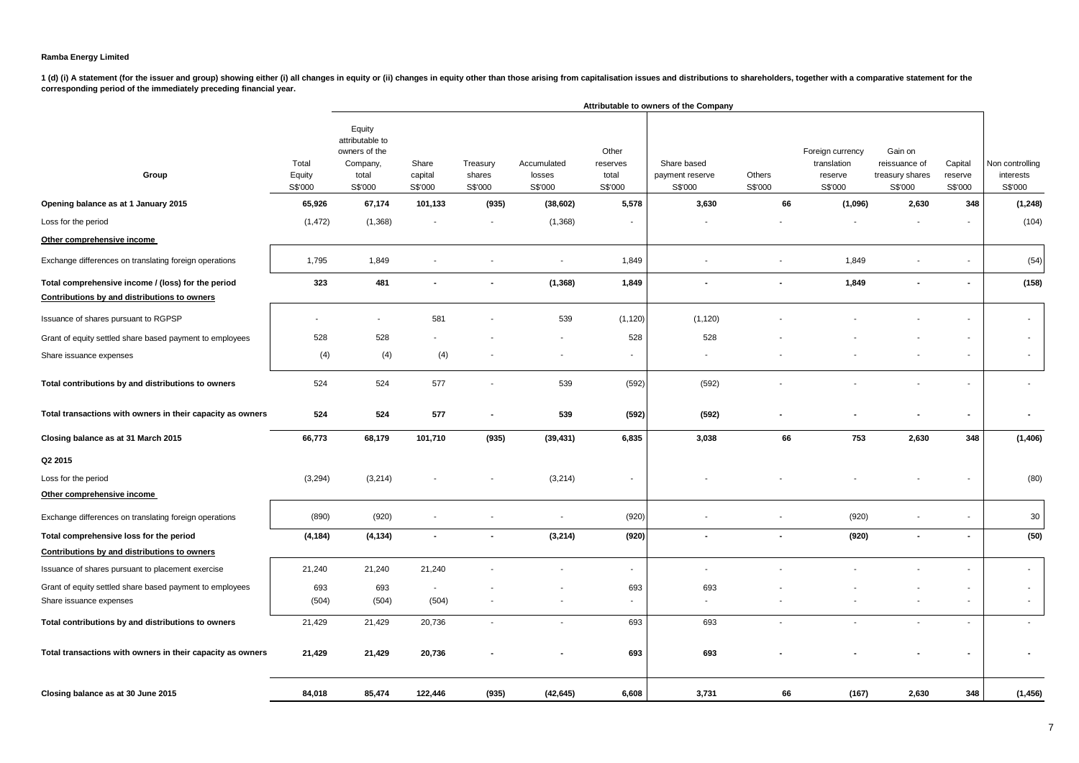|                                                                                                    |                            |                                                                            | Attributable to owners of the Company |                               |                                  |                                       |                                           |                   |                                                       |                                                        |                               |                                         |  |
|----------------------------------------------------------------------------------------------------|----------------------------|----------------------------------------------------------------------------|---------------------------------------|-------------------------------|----------------------------------|---------------------------------------|-------------------------------------------|-------------------|-------------------------------------------------------|--------------------------------------------------------|-------------------------------|-----------------------------------------|--|
| Group                                                                                              | Total<br>Equity<br>S\$'000 | Equity<br>attributable to<br>owners of the<br>Company,<br>total<br>S\$'000 | Share<br>capital<br>S\$'000           | Treasury<br>shares<br>S\$'000 | Accumulated<br>losses<br>S\$'000 | Other<br>reserves<br>total<br>S\$'000 | Share based<br>payment reserve<br>S\$'000 | Others<br>S\$'000 | Foreign currency<br>translation<br>reserve<br>S\$'000 | Gain on<br>reissuance of<br>treasury shares<br>S\$'000 | Capital<br>reserve<br>S\$'000 | Non controlling<br>interests<br>S\$'000 |  |
| Opening balance as at 1 January 2015                                                               | 65,926                     | 67,174                                                                     | 101,133                               | (935)                         | (38, 602)                        | 5,578                                 | 3,630                                     | 66                | (1,096)                                               | 2,630                                                  | 348                           | (1, 248)                                |  |
| Loss for the period                                                                                | (1, 472)                   | (1,368)                                                                    |                                       |                               | (1,368)                          |                                       |                                           |                   |                                                       |                                                        |                               | (104)                                   |  |
| Other comprehensive income                                                                         |                            |                                                                            |                                       |                               |                                  |                                       |                                           |                   |                                                       |                                                        |                               |                                         |  |
| Exchange differences on translating foreign operations                                             | 1,795                      | 1,849                                                                      |                                       |                               |                                  | 1,849                                 |                                           |                   | 1,849                                                 |                                                        |                               | (54)                                    |  |
| Total comprehensive income / (loss) for the period<br>Contributions by and distributions to owners | 323                        | 481                                                                        | $\blacksquare$                        | $\sim$                        | (1, 368)                         | 1,849                                 | $\blacksquare$                            | $\blacksquare$    | 1,849                                                 | $\blacksquare$                                         | $\sim$                        | (158)                                   |  |
| Issuance of shares pursuant to RGPSP                                                               |                            |                                                                            | 581                                   |                               | 539                              | (1, 120)                              | (1, 120)                                  |                   |                                                       |                                                        |                               | $\blacksquare$                          |  |
| Grant of equity settled share based payment to employees                                           | 528                        | 528                                                                        |                                       |                               | $\overline{\phantom{a}}$         | 528                                   | 528                                       |                   |                                                       |                                                        |                               |                                         |  |
| Share issuance expenses                                                                            | (4)                        | (4)                                                                        | (4)                                   |                               | $\overline{\phantom{a}}$         | $\sim$                                |                                           |                   |                                                       |                                                        | $\blacksquare$                | $\blacksquare$                          |  |
| Total contributions by and distributions to owners                                                 | 524                        | 524                                                                        | 577                                   |                               | 539                              | (592)                                 | (592)                                     |                   |                                                       |                                                        |                               |                                         |  |
| Total transactions with owners in their capacity as owners                                         | 524                        | 524                                                                        | 577                                   |                               | 539                              | (592)                                 | (592)                                     |                   |                                                       |                                                        | $\blacksquare$                |                                         |  |
| Closing balance as at 31 March 2015                                                                | 66,773                     | 68,179                                                                     | 101,710                               | (935)                         | (39, 431)                        | 6,835                                 | 3,038                                     | 66                | 753                                                   | 2,630                                                  | 348                           | (1,406)                                 |  |
| Q2 2015                                                                                            |                            |                                                                            |                                       |                               |                                  |                                       |                                           |                   |                                                       |                                                        |                               |                                         |  |
| Loss for the period                                                                                | (3,294)                    | (3,214)                                                                    |                                       |                               | (3,214)                          | $\overline{\phantom{a}}$              |                                           |                   |                                                       |                                                        |                               | (80)                                    |  |
| Other comprehensive income                                                                         |                            |                                                                            |                                       |                               |                                  |                                       |                                           |                   |                                                       |                                                        |                               |                                         |  |
| Exchange differences on translating foreign operations                                             | (890)                      | (920)                                                                      |                                       |                               | $\overline{\phantom{a}}$         | (920)                                 |                                           |                   | (920)                                                 |                                                        |                               | 30                                      |  |
| Total comprehensive loss for the period                                                            | (4, 184)                   | (4, 134)                                                                   | $\blacksquare$                        | $\overline{\phantom{a}}$      | (3,214)                          | (920)                                 | $\overline{\phantom{a}}$                  | $\blacksquare$    | (920)                                                 | $\blacksquare$                                         | $\overline{\phantom{a}}$      | (50)                                    |  |
| Contributions by and distributions to owners                                                       |                            |                                                                            |                                       |                               |                                  |                                       |                                           |                   |                                                       |                                                        |                               |                                         |  |
| Issuance of shares pursuant to placement exercise                                                  | 21,240                     | 21,240                                                                     | 21,240                                |                               |                                  | $\sim$                                |                                           |                   |                                                       |                                                        |                               | $\overline{\phantom{a}}$                |  |
| Grant of equity settled share based payment to employees                                           | 693                        | 693                                                                        | $\sim$                                |                               |                                  | 693                                   | 693                                       |                   |                                                       |                                                        | $\overline{\phantom{a}}$      | $\sim$                                  |  |
| Share issuance expenses                                                                            | (504)                      | (504)                                                                      | (504)                                 |                               |                                  | $\sim$                                | $\sim$                                    |                   |                                                       |                                                        | ÷.                            | $\overline{\phantom{a}}$                |  |
| Total contributions by and distributions to owners                                                 | 21,429                     | 21,429                                                                     | 20,736                                | $\blacksquare$                |                                  | 693                                   | 693                                       |                   |                                                       | $\blacksquare$                                         | $\blacksquare$                | $\sim$                                  |  |
| Total transactions with owners in their capacity as owners                                         | 21,429                     | 21,429                                                                     | 20,736                                |                               |                                  | 693                                   | 693                                       |                   |                                                       |                                                        |                               |                                         |  |
| Closing balance as at 30 June 2015                                                                 | 84,018                     | 85,474                                                                     | 122,446                               | (935)                         | (42, 645)                        | 6,608                                 | 3,731                                     | 66                | (167)                                                 | 2,630                                                  | 348                           | (1, 456)                                |  |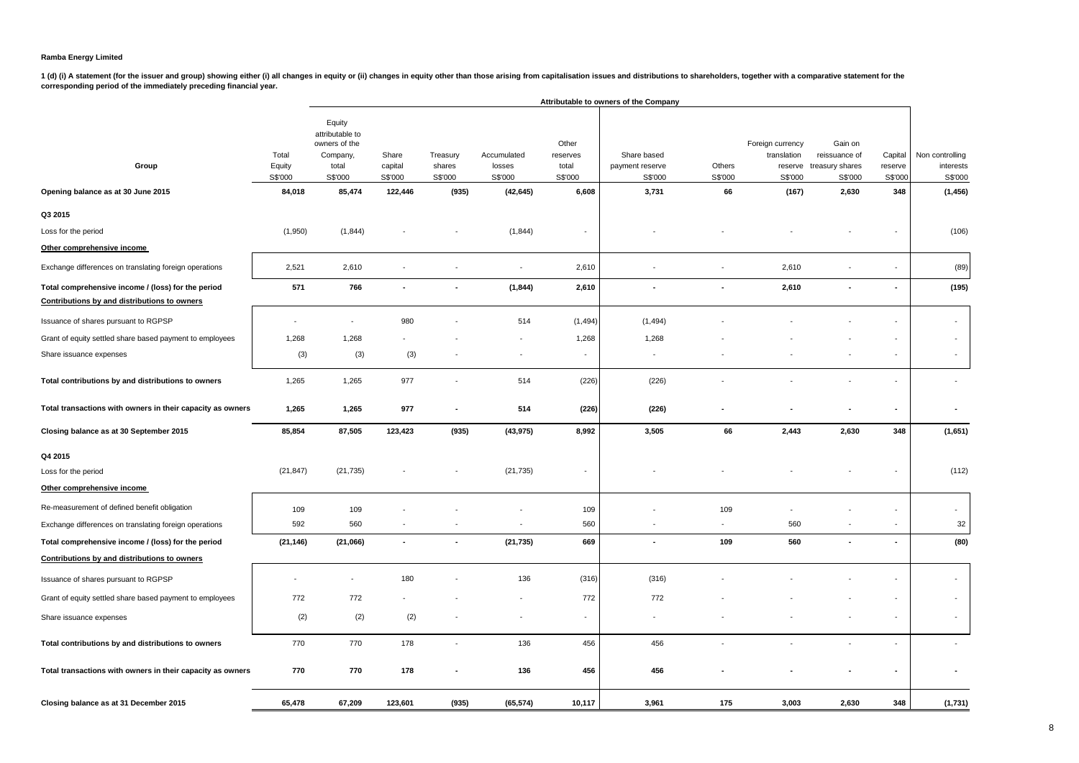1 (d) (i) A statement (for the issuer and group) showing either (i) all changes in equity or (ii) changes in equity other than those arising from capitalisation issues and distributions to shareholders, together with a com

|                                                                                                    | Attributable to owners of the Company |                                                                            |                             |                               |                                  |                                       |                                           |                   |                                                       |                                                        |                               |                                         |
|----------------------------------------------------------------------------------------------------|---------------------------------------|----------------------------------------------------------------------------|-----------------------------|-------------------------------|----------------------------------|---------------------------------------|-------------------------------------------|-------------------|-------------------------------------------------------|--------------------------------------------------------|-------------------------------|-----------------------------------------|
| Group                                                                                              | Total<br>Equity<br>S\$'000            | Equity<br>attributable to<br>owners of the<br>Company,<br>total<br>S\$'000 | Share<br>capital<br>S\$'000 | Treasury<br>shares<br>S\$'000 | Accumulated<br>losses<br>S\$'000 | Other<br>reserves<br>total<br>S\$'000 | Share based<br>payment reserve<br>S\$'000 | Others<br>S\$'000 | Foreign currency<br>translation<br>reserve<br>S\$'000 | Gain on<br>reissuance of<br>treasury shares<br>S\$'000 | Capital<br>reserve<br>S\$'000 | Non controlling<br>interests<br>S\$'000 |
| Opening balance as at 30 June 2015                                                                 | 84,018                                | 85,474                                                                     | 122,446                     | (935)                         | (42, 645)                        | 6,608                                 | 3,731                                     | 66                | (167)                                                 | 2,630                                                  | 348                           | (1, 456)                                |
| Q3 2015                                                                                            |                                       |                                                                            |                             |                               |                                  |                                       |                                           |                   |                                                       |                                                        |                               |                                         |
| Loss for the period                                                                                | (1,950)                               | (1, 844)                                                                   |                             |                               | (1, 844)                         | $\sim$                                |                                           |                   |                                                       |                                                        |                               | (106)                                   |
| Other comprehensive income                                                                         |                                       |                                                                            |                             |                               |                                  |                                       |                                           |                   |                                                       |                                                        |                               |                                         |
| Exchange differences on translating foreign operations                                             | 2,521                                 | 2,610                                                                      | $\sim$                      | $\overline{\phantom{a}}$      | $\overline{\phantom{a}}$         | 2,610                                 | $\overline{a}$                            | $\overline{a}$    | 2,610                                                 | $\blacksquare$                                         | $\overline{\phantom{a}}$      | (89)                                    |
| Total comprehensive income / (loss) for the period<br>Contributions by and distributions to owners | 571                                   | 766                                                                        |                             | $\blacksquare$                | (1, 844)                         | 2,610                                 | $\overline{\phantom{a}}$                  |                   | 2,610                                                 | $\overline{\phantom{a}}$                               |                               | (195)                                   |
| Issuance of shares pursuant to RGPSP                                                               | $\overline{\phantom{a}}$              | $\sim$                                                                     | 980                         |                               | 514                              | (1, 494)                              | (1, 494)                                  |                   |                                                       |                                                        |                               | $\blacksquare$                          |
| Grant of equity settled share based payment to employees                                           | 1,268                                 | 1,268                                                                      |                             |                               |                                  | 1,268                                 | 1,268                                     |                   |                                                       |                                                        |                               | $\blacksquare$                          |
| Share issuance expenses                                                                            | (3)                                   | (3)                                                                        | (3)                         |                               |                                  | $\sim$                                | $\sim$                                    |                   |                                                       |                                                        |                               | $\overline{\phantom{a}}$                |
| Total contributions by and distributions to owners                                                 | 1,265                                 | 1,265                                                                      | 977                         | ä,                            | 514                              | (226)                                 | (226)                                     |                   |                                                       |                                                        |                               |                                         |
| Total transactions with owners in their capacity as owners                                         | 1,265                                 | 1,265                                                                      | 977                         |                               | 514                              | (226)                                 | (226)                                     |                   |                                                       |                                                        |                               |                                         |
| Closing balance as at 30 September 2015                                                            | 85,854                                | 87,505                                                                     | 123,423                     | (935)                         | (43, 975)                        | 8,992                                 | 3,505                                     | 66                | 2,443                                                 | 2,630                                                  | 348                           | (1,651)                                 |
| Q4 2015                                                                                            |                                       |                                                                            |                             |                               |                                  |                                       |                                           |                   |                                                       |                                                        |                               |                                         |
| Loss for the period                                                                                | (21, 847)                             | (21, 735)                                                                  |                             |                               | (21, 735)                        |                                       |                                           |                   |                                                       |                                                        |                               | (112)                                   |
| Other comprehensive income                                                                         |                                       |                                                                            |                             |                               |                                  |                                       |                                           |                   |                                                       |                                                        |                               |                                         |
| Re-measurement of defined benefit obligation                                                       | 109                                   | 109                                                                        |                             |                               |                                  | 109                                   |                                           | 109               |                                                       |                                                        |                               | $\sim$                                  |
| Exchange differences on translating foreign operations                                             | 592                                   | 560                                                                        |                             |                               |                                  | 560                                   |                                           |                   | 560                                                   |                                                        |                               | 32                                      |
| Total comprehensive income / (loss) for the period                                                 | (21, 146)                             | (21,066)                                                                   | $\blacksquare$              | $\blacksquare$                | (21, 735)                        | 669                                   | $\blacksquare$                            | 109               | 560                                                   | $\blacksquare$                                         | $\overline{\phantom{a}}$      | (80)                                    |
| Contributions by and distributions to owners                                                       |                                       |                                                                            |                             |                               |                                  |                                       |                                           |                   |                                                       |                                                        |                               |                                         |
| Issuance of shares pursuant to RGPSP                                                               | $\overline{\phantom{a}}$              |                                                                            | 180                         |                               | 136                              | (316)                                 | (316)                                     |                   |                                                       |                                                        |                               | $\overline{\phantom{a}}$                |
| Grant of equity settled share based payment to employees                                           | 772                                   | 772                                                                        |                             |                               |                                  | 772                                   | 772                                       |                   |                                                       |                                                        |                               | $\overline{\phantom{a}}$                |
| Share issuance expenses                                                                            | (2)                                   | (2)                                                                        | (2)                         |                               |                                  | $\mathbf{r}$                          | $\sim$                                    |                   |                                                       |                                                        |                               | $\sim$                                  |
| Total contributions by and distributions to owners                                                 | 770                                   | 770                                                                        | 178                         | $\sim$                        | 136                              | 456                                   | 456                                       |                   |                                                       |                                                        |                               | $\sim$                                  |
| Total transactions with owners in their capacity as owners                                         | 770                                   | 770                                                                        | 178                         |                               | 136                              | 456                                   | 456                                       |                   |                                                       |                                                        |                               |                                         |
| Closing balance as at 31 December 2015                                                             | 65,478                                | 67,209                                                                     | 123,601                     | (935)                         | (65, 574)                        | 10,117                                | 3,961                                     | 175               | 3,003                                                 | 2,630                                                  | 348                           | (1,731)                                 |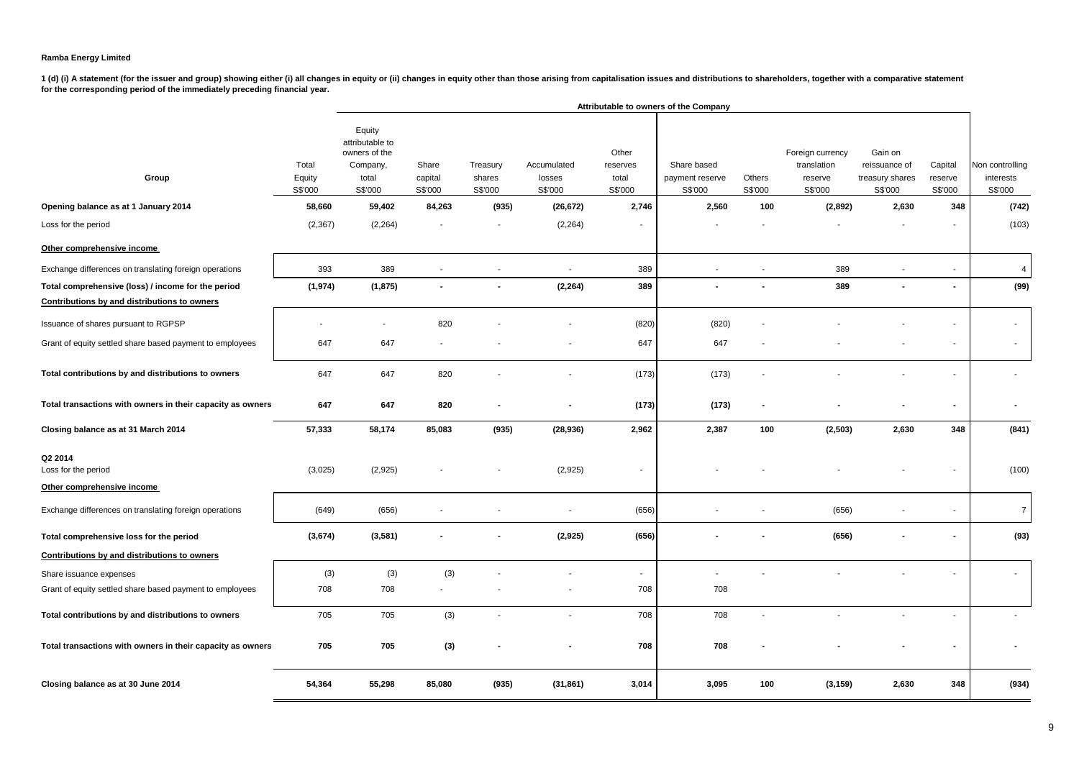|                                                              |                            |                                                                            | Attributable to owners of the Company |                               |                                  |                                       |                                           |                          |                                                       |                                                        |                               |                                         |  |
|--------------------------------------------------------------|----------------------------|----------------------------------------------------------------------------|---------------------------------------|-------------------------------|----------------------------------|---------------------------------------|-------------------------------------------|--------------------------|-------------------------------------------------------|--------------------------------------------------------|-------------------------------|-----------------------------------------|--|
| Group                                                        | Total<br>Equity<br>S\$'000 | Equity<br>attributable to<br>owners of the<br>Company,<br>total<br>S\$'000 | Share<br>capital<br>S\$'000           | Treasury<br>shares<br>S\$'000 | Accumulated<br>losses<br>S\$'000 | Other<br>reserves<br>total<br>S\$'000 | Share based<br>payment reserve<br>S\$'000 | Others<br>S\$'000        | Foreign currency<br>translation<br>reserve<br>S\$'000 | Gain on<br>reissuance of<br>treasury shares<br>S\$'000 | Capital<br>reserve<br>S\$'000 | Non controlling<br>interests<br>S\$'000 |  |
| Opening balance as at 1 January 2014                         | 58,660                     | 59,402                                                                     | 84,263                                | (935)                         | (26, 672)                        | 2,746                                 | 2,560                                     | 100                      | (2,892)                                               | 2,630                                                  | 348                           | (742)                                   |  |
| Loss for the period                                          | (2, 367)                   | (2, 264)                                                                   |                                       |                               | (2, 264)                         |                                       |                                           |                          |                                                       |                                                        |                               | (103)                                   |  |
| Other comprehensive income                                   |                            |                                                                            |                                       |                               |                                  |                                       |                                           |                          |                                                       |                                                        |                               |                                         |  |
| Exchange differences on translating foreign operations       | 393                        | 389                                                                        | $\sim$                                | $\sim$                        | $\mathcal{L}_{\mathcal{A}}$      | 389                                   | $\sim$                                    | $\overline{\phantom{a}}$ | 389                                                   |                                                        | $\overline{\phantom{a}}$      | $\overline{4}$                          |  |
| Total comprehensive (loss) / income for the period           | (1, 974)                   | (1, 875)                                                                   | $\blacksquare$                        | $\blacksquare$                | (2, 264)                         | 389                                   | $\sim$                                    |                          | 389                                                   |                                                        | ÷                             | (99)                                    |  |
| Contributions by and distributions to owners                 |                            |                                                                            |                                       |                               |                                  |                                       |                                           |                          |                                                       |                                                        |                               |                                         |  |
| Issuance of shares pursuant to RGPSP                         |                            |                                                                            | 820                                   |                               |                                  | (820)                                 | (820)                                     |                          |                                                       |                                                        |                               |                                         |  |
| Grant of equity settled share based payment to employees     | 647                        | 647                                                                        |                                       |                               |                                  | 647                                   | 647                                       |                          |                                                       |                                                        |                               |                                         |  |
| Total contributions by and distributions to owners           | 647                        | 647                                                                        | 820                                   |                               |                                  | (173)                                 | (173)                                     |                          |                                                       |                                                        |                               |                                         |  |
| Total transactions with owners in their capacity as owners   | 647                        | 647                                                                        | 820                                   |                               |                                  | (173)                                 | (173)                                     | $\blacksquare$           |                                                       |                                                        |                               |                                         |  |
| Closing balance as at 31 March 2014                          | 57,333                     | 58,174                                                                     | 85,083                                | (935)                         | (28, 936)                        | 2,962                                 | 2,387                                     | 100                      | (2,503)                                               | 2,630                                                  | 348                           | (841)                                   |  |
| Q2 2014<br>Loss for the period<br>Other comprehensive income | (3,025)                    | (2,925)                                                                    |                                       |                               | (2,925)                          |                                       |                                           |                          |                                                       |                                                        |                               | (100)                                   |  |
|                                                              |                            |                                                                            |                                       |                               |                                  |                                       |                                           |                          |                                                       |                                                        |                               |                                         |  |
| Exchange differences on translating foreign operations       | (649)                      | (656)                                                                      | $\overline{\phantom{a}}$              |                               | $\blacksquare$                   | (656)                                 |                                           |                          | (656)                                                 |                                                        |                               | $\overline{7}$                          |  |
| Total comprehensive loss for the period                      | (3, 674)                   | (3,581)                                                                    |                                       |                               | (2,925)                          | (656)                                 |                                           |                          | (656)                                                 |                                                        |                               | (93)                                    |  |
| Contributions by and distributions to owners                 |                            |                                                                            |                                       |                               |                                  |                                       |                                           |                          |                                                       |                                                        |                               |                                         |  |
| Share issuance expenses                                      | (3)                        | (3)                                                                        | (3)                                   |                               |                                  | $\mathbf{r}$                          |                                           |                          |                                                       |                                                        |                               | $\sim$                                  |  |
| Grant of equity settled share based payment to employees     | 708                        | 708                                                                        |                                       |                               |                                  | 708                                   | 708                                       |                          |                                                       |                                                        |                               |                                         |  |
| Total contributions by and distributions to owners           | 705                        | 705                                                                        | (3)                                   | $\overline{\phantom{a}}$      | $\overline{a}$                   | 708                                   | 708                                       | $\overline{\phantom{a}}$ |                                                       |                                                        |                               |                                         |  |
| Total transactions with owners in their capacity as owners   | 705                        | 705                                                                        | (3)                                   |                               |                                  | 708                                   | 708                                       |                          |                                                       |                                                        |                               |                                         |  |
| Closing balance as at 30 June 2014                           | 54,364                     | 55,298                                                                     | 85,080                                | (935)                         | (31, 861)                        | 3,014                                 | 3,095                                     | 100                      | (3, 159)                                              | 2,630                                                  | 348                           | (934)                                   |  |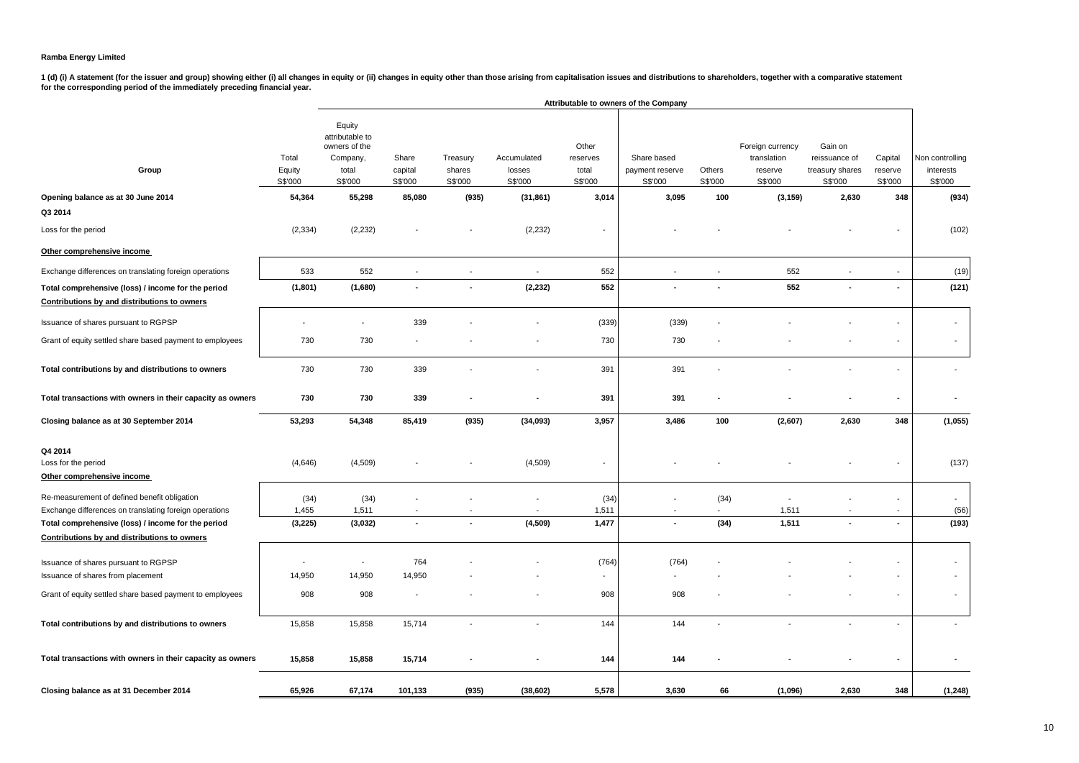|                                                                                                    |                            | Attributable to owners of the Company                                      |                             |                               |                                  |                                       |                                           |                   |                                                       |                                                        |                               |                                         |
|----------------------------------------------------------------------------------------------------|----------------------------|----------------------------------------------------------------------------|-----------------------------|-------------------------------|----------------------------------|---------------------------------------|-------------------------------------------|-------------------|-------------------------------------------------------|--------------------------------------------------------|-------------------------------|-----------------------------------------|
| Group                                                                                              | Total<br>Equity<br>S\$'000 | Equity<br>attributable to<br>owners of the<br>Company,<br>total<br>S\$'000 | Share<br>capital<br>S\$'000 | Treasury<br>shares<br>S\$'000 | Accumulated<br>losses<br>S\$'000 | Other<br>reserves<br>total<br>S\$'000 | Share based<br>payment reserve<br>S\$'000 | Others<br>S\$'000 | Foreign currency<br>translation<br>reserve<br>S\$'000 | Gain on<br>reissuance of<br>treasury shares<br>S\$'000 | Capital<br>reserve<br>S\$'000 | Non controlling<br>interests<br>S\$'000 |
| Opening balance as at 30 June 2014                                                                 | 54,364                     | 55,298                                                                     | 85,080                      | (935)                         | (31, 861)                        | 3,014                                 | 3,095                                     | 100               | (3, 159)                                              | 2,630                                                  | 348                           | (934)                                   |
| Q3 2014                                                                                            |                            |                                                                            |                             |                               |                                  |                                       |                                           |                   |                                                       |                                                        |                               |                                         |
| Loss for the period                                                                                | (2, 334)                   | (2, 232)                                                                   |                             |                               | (2, 232)                         | $\overline{\phantom{a}}$              |                                           |                   |                                                       |                                                        |                               | (102)                                   |
| Other comprehensive income                                                                         |                            |                                                                            |                             |                               |                                  |                                       |                                           |                   |                                                       |                                                        |                               |                                         |
| Exchange differences on translating foreign operations                                             | 533                        | 552                                                                        | $\overline{\phantom{a}}$    |                               | $\overline{\phantom{a}}$         | 552                                   |                                           |                   | 552                                                   |                                                        |                               | (19)                                    |
| Total comprehensive (loss) / income for the period<br>Contributions by and distributions to owners | (1,801)                    | (1,680)                                                                    | $\blacksquare$              |                               | (2, 232)                         | 552                                   |                                           |                   | 552                                                   |                                                        | $\blacksquare$                | (121)                                   |
| Issuance of shares pursuant to RGPSP                                                               |                            |                                                                            | 339                         |                               |                                  | (339)                                 | (339)                                     |                   |                                                       |                                                        |                               | $\overline{\phantom{a}}$                |
| Grant of equity settled share based payment to employees                                           | 730                        | 730                                                                        |                             |                               |                                  | 730                                   | 730                                       |                   |                                                       |                                                        |                               | $\overline{\phantom{a}}$                |
| Total contributions by and distributions to owners                                                 | 730                        | 730                                                                        | 339                         |                               |                                  | 391                                   | 391                                       |                   |                                                       |                                                        |                               | $\overline{\phantom{a}}$                |
| Total transactions with owners in their capacity as owners                                         | 730                        | 730                                                                        | 339                         |                               |                                  | 391                                   | 391                                       |                   |                                                       |                                                        |                               |                                         |
| Closing balance as at 30 September 2014                                                            | 53,293                     | 54,348                                                                     | 85,419                      | (935)                         | (34,093)                         | 3,957                                 | 3,486                                     | 100               | (2,607)                                               | 2,630                                                  | 348                           | (1,055)                                 |
| Q4 2014<br>Loss for the period<br>Other comprehensive income                                       | (4,646)                    | (4,509)                                                                    |                             |                               | (4, 509)                         | $\blacksquare$                        |                                           |                   |                                                       |                                                        |                               | (137)                                   |
| Re-measurement of defined benefit obligation                                                       | (34)                       | (34)                                                                       |                             |                               |                                  | (34)                                  |                                           | (34)              |                                                       |                                                        |                               | $\blacksquare$                          |
| Exchange differences on translating foreign operations                                             | 1,455                      | 1,511                                                                      | $\overline{\phantom{a}}$    |                               |                                  | 1,511                                 | $\overline{\phantom{a}}$                  | $\overline{a}$    | 1,511                                                 |                                                        | $\overline{\phantom{a}}$      | (56)                                    |
| Total comprehensive (loss) / income for the period<br>Contributions by and distributions to owners | (3,225)                    | (3,032)                                                                    | $\overline{\phantom{a}}$    |                               | (4, 509)                         | 1,477                                 | ÷.                                        | (34)              | 1,511                                                 |                                                        |                               | (193)                                   |
| Issuance of shares pursuant to RGPSP<br>Issuance of shares from placement                          | $\overline{a}$<br>14,950   | $\overline{\phantom{a}}$<br>14,950                                         | 764<br>14,950               |                               |                                  | (764)<br>$\blacksquare$               | (764)<br>$\overline{a}$                   |                   |                                                       |                                                        |                               | $\overline{\phantom{a}}$                |
| Grant of equity settled share based payment to employees                                           | 908                        | 908                                                                        |                             |                               |                                  | 908                                   | 908                                       |                   |                                                       |                                                        |                               | $\blacksquare$                          |
| Total contributions by and distributions to owners                                                 | 15,858                     | 15,858                                                                     | 15,714                      | $\overline{\phantom{a}}$      | $\overline{\phantom{a}}$         | 144                                   | 144                                       | $\overline{a}$    |                                                       | $\overline{a}$                                         | $\overline{a}$                | $\overline{a}$                          |
| Total transactions with owners in their capacity as owners                                         | 15,858                     | 15,858                                                                     | 15,714                      |                               |                                  | 144                                   | 144                                       |                   |                                                       |                                                        | $\blacksquare$                |                                         |
| Closing balance as at 31 December 2014                                                             | 65,926                     | 67,174                                                                     | 101,133                     | (935)                         | (38, 602)                        | 5,578                                 | 3,630                                     | 66                | (1,096)                                               | 2,630                                                  | 348                           | (1,248)                                 |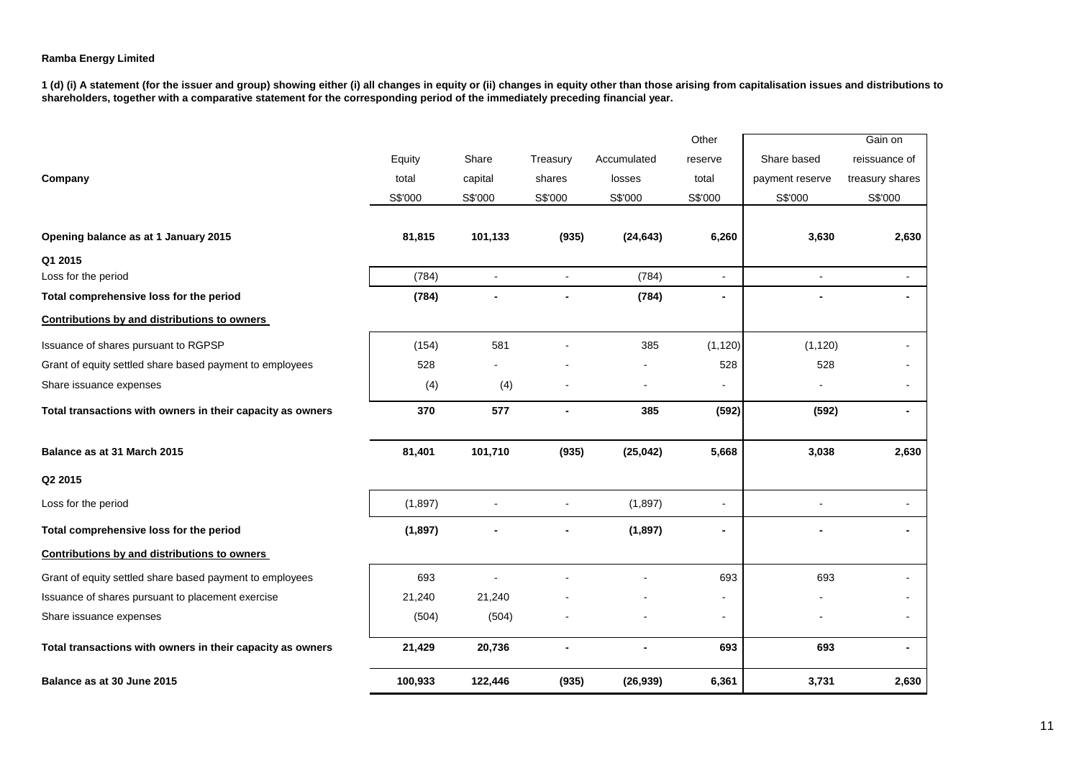|                                                            |          |                |                |             | Other                    |                 | Gain on                  |
|------------------------------------------------------------|----------|----------------|----------------|-------------|--------------------------|-----------------|--------------------------|
|                                                            | Equity   | Share          | Treasury       | Accumulated | reserve                  | Share based     | reissuance of            |
| Company                                                    | total    | capital        | shares         | losses      | total                    | payment reserve | treasury shares          |
|                                                            | S\$'000  | S\$'000        | S\$'000        | S\$'000     | S\$'000                  | S\$'000         | S\$'000                  |
|                                                            |          |                |                |             |                          |                 |                          |
| Opening balance as at 1 January 2015                       | 81,815   | 101,133        | (935)          | (24, 643)   | 6,260                    | 3,630           | 2,630                    |
| Q1 2015                                                    |          |                |                |             |                          |                 |                          |
| Loss for the period                                        | (784)    | $\blacksquare$ | ÷,             | (784)       | $\blacksquare$           | $\sim$          | $\sim$                   |
| Total comprehensive loss for the period                    | (784)    |                |                | (784)       | $\overline{\phantom{a}}$ |                 |                          |
| Contributions by and distributions to owners               |          |                |                |             |                          |                 |                          |
| Issuance of shares pursuant to RGPSP                       | (154)    | 581            |                | 385         | (1, 120)                 | (1, 120)        |                          |
| Grant of equity settled share based payment to employees   | 528      |                |                |             | 528                      | 528             |                          |
| Share issuance expenses                                    | (4)      | (4)            |                |             | $\blacksquare$           |                 |                          |
| Total transactions with owners in their capacity as owners | 370      | 577            | $\blacksquare$ | 385         | (592)                    | (592)           | $\blacksquare$           |
| Balance as at 31 March 2015                                | 81,401   | 101,710        | (935)          | (25, 042)   | 5,668                    | 3,038           | 2,630                    |
| Q2 2015                                                    |          |                |                |             |                          |                 |                          |
| Loss for the period                                        | (1,897)  |                |                | (1,897)     | ÷,                       |                 |                          |
| Total comprehensive loss for the period                    | (1, 897) |                |                | (1, 897)    | $\blacksquare$           |                 |                          |
| Contributions by and distributions to owners               |          |                |                |             |                          |                 |                          |
| Grant of equity settled share based payment to employees   | 693      |                |                |             | 693                      | 693             |                          |
| Issuance of shares pursuant to placement exercise          | 21,240   | 21,240         |                |             |                          |                 |                          |
| Share issuance expenses                                    | (504)    | (504)          |                |             | $\blacksquare$           |                 |                          |
| Total transactions with owners in their capacity as owners | 21,429   | 20,736         |                |             | 693                      | 693             | $\overline{\phantom{a}}$ |
| Balance as at 30 June 2015                                 | 100,933  | 122,446        | (935)          | (26, 939)   | 6,361                    | 3,731           | 2,630                    |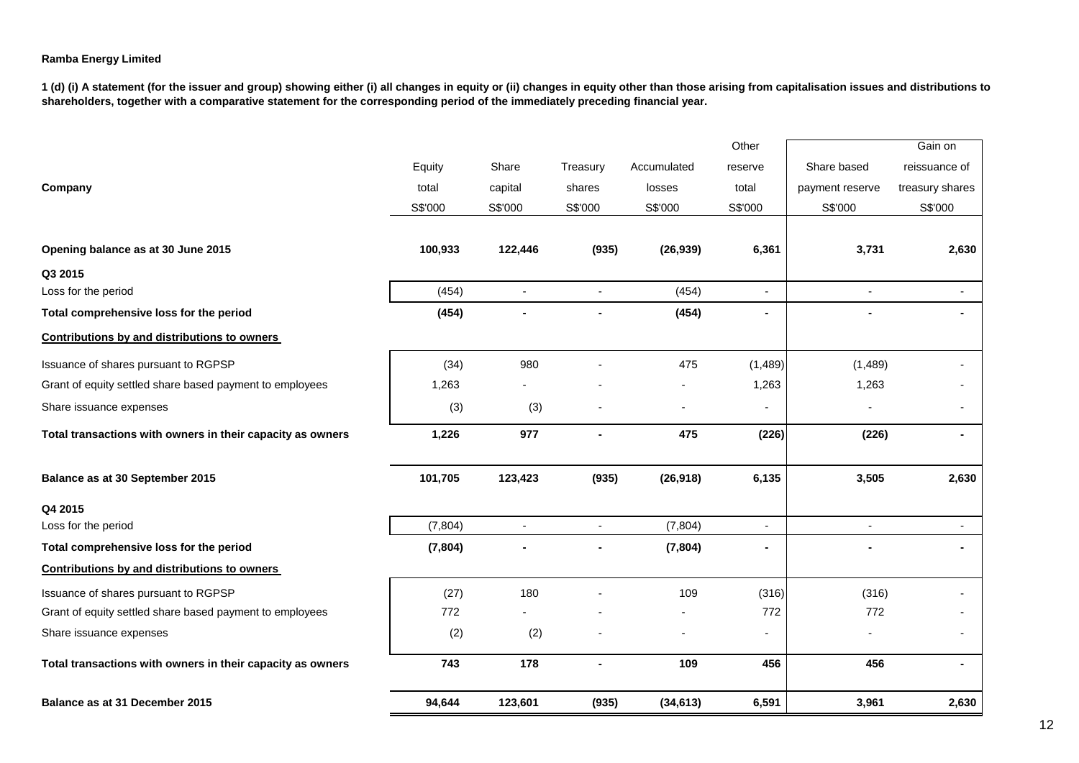|                                                            |          |                          |                          |             | Other          |                          | Gain on                  |
|------------------------------------------------------------|----------|--------------------------|--------------------------|-------------|----------------|--------------------------|--------------------------|
|                                                            | Equity   | Share                    | Treasury                 | Accumulated | reserve        | Share based              | reissuance of            |
| Company                                                    | total    | capital                  | shares                   | losses      | total          | payment reserve          | treasury shares          |
|                                                            | S\$'000  | S\$'000                  | S\$'000                  | S\$'000     | S\$'000        | S\$'000                  | S\$'000                  |
|                                                            |          |                          |                          |             |                |                          |                          |
| Opening balance as at 30 June 2015                         | 100,933  | 122,446                  | (935)                    | (26, 939)   | 6,361          | 3,731                    | 2,630                    |
| Q3 2015                                                    |          |                          |                          |             |                |                          |                          |
| Loss for the period                                        | (454)    | $\blacksquare$           | L.                       | (454)       | ä,             | $\blacksquare$           | $\sim$                   |
| Total comprehensive loss for the period                    | (454)    | $\blacksquare$           | $\blacksquare$           | (454)       | $\blacksquare$ |                          | $\blacksquare$           |
| Contributions by and distributions to owners               |          |                          |                          |             |                |                          |                          |
| Issuance of shares pursuant to RGPSP                       | (34)     | 980                      |                          | 475         | (1,489)        | (1,489)                  |                          |
| Grant of equity settled share based payment to employees   | 1,263    |                          |                          |             | 1,263          | 1,263                    |                          |
| Share issuance expenses                                    | (3)      | (3)                      |                          |             | $\blacksquare$ |                          | $\overline{\phantom{a}}$ |
| Total transactions with owners in their capacity as owners | 1,226    | 977                      | $\blacksquare$           | 475         | (226)          | (226)                    | ۰                        |
| Balance as at 30 September 2015                            | 101,705  | 123,423                  | (935)                    | (26, 918)   | 6,135          | 3,505                    | 2,630                    |
| Q4 2015                                                    |          |                          |                          |             |                |                          |                          |
| Loss for the period                                        | (7, 804) | $\overline{\phantom{a}}$ | $\overline{\phantom{a}}$ | (7, 804)    | ٠              | $\overline{\phantom{a}}$ | $\blacksquare$           |
| Total comprehensive loss for the period                    | (7, 804) |                          |                          | (7, 804)    | $\blacksquare$ |                          | ٠                        |
| Contributions by and distributions to owners               |          |                          |                          |             |                |                          |                          |
| Issuance of shares pursuant to RGPSP                       | (27)     | 180                      |                          | 109         | (316)          | (316)                    |                          |
| Grant of equity settled share based payment to employees   | 772      |                          |                          |             | 772            | 772                      |                          |
| Share issuance expenses                                    | (2)      | (2)                      |                          |             | ٠              |                          | $\overline{\phantom{a}}$ |
| Total transactions with owners in their capacity as owners | 743      | 178                      | $\blacksquare$           | 109         | 456            | 456                      | $\blacksquare$           |
| Balance as at 31 December 2015                             | 94,644   | 123,601                  | (935)                    | (34, 613)   | 6,591          | 3,961                    | 2,630                    |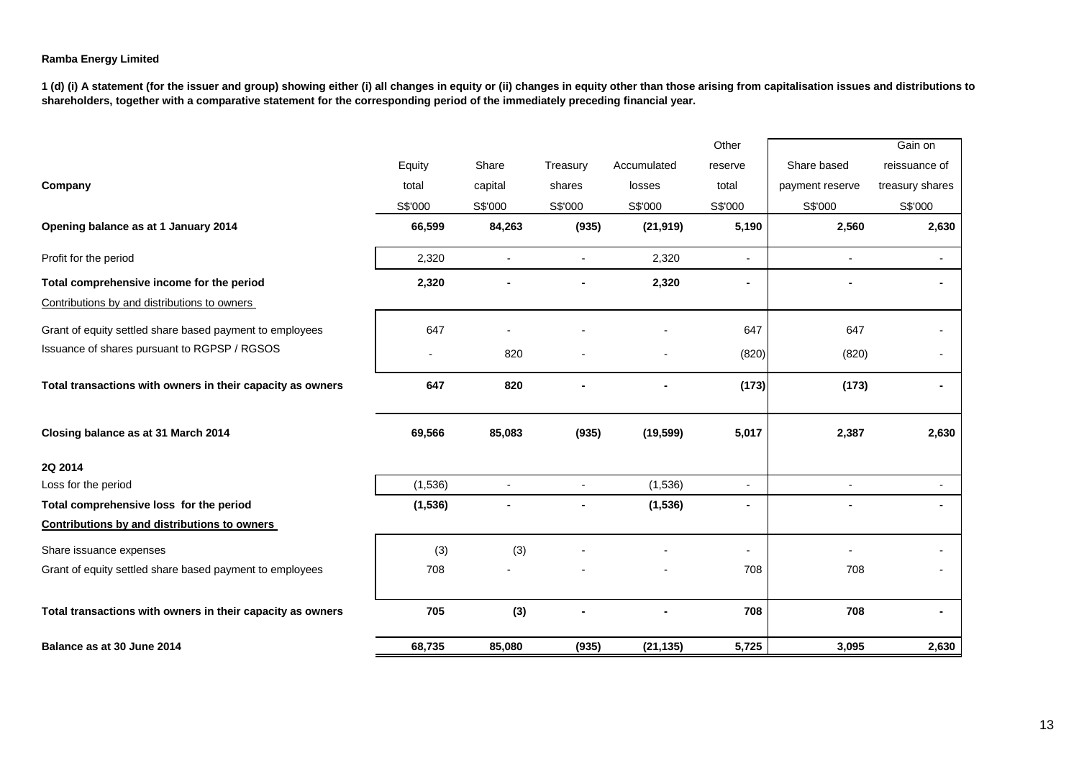|                                                            |          |                |                |             | Other          |                 | Gain on         |
|------------------------------------------------------------|----------|----------------|----------------|-------------|----------------|-----------------|-----------------|
|                                                            | Equity   | Share          | Treasury       | Accumulated | reserve        | Share based     | reissuance of   |
| Company                                                    | total    | capital        | shares         | losses      | total          | payment reserve | treasury shares |
|                                                            | S\$'000  | S\$'000        | S\$'000        | S\$'000     | S\$'000        | S\$'000         | S\$'000         |
| Opening balance as at 1 January 2014                       | 66,599   | 84,263         | (935)          | (21, 919)   | 5,190          | 2,560           | 2,630           |
| Profit for the period                                      | 2,320    | $\blacksquare$ |                | 2,320       | $\blacksquare$ |                 | $\sim$          |
| Total comprehensive income for the period                  | 2,320    |                |                | 2,320       | ٠              |                 |                 |
| Contributions by and distributions to owners               |          |                |                |             |                |                 |                 |
| Grant of equity settled share based payment to employees   | 647      |                |                |             | 647            | 647             |                 |
| Issuance of shares pursuant to RGPSP / RGSOS               |          | 820            |                |             | (820)          | (820)           |                 |
| Total transactions with owners in their capacity as owners | 647      | 820            |                |             | (173)          | (173)           |                 |
| Closing balance as at 31 March 2014                        | 69,566   | 85,083         | (935)          | (19, 599)   | 5,017          | 2,387           | 2,630           |
| 2Q 2014                                                    |          |                |                |             |                |                 |                 |
| Loss for the period                                        | (1,536)  | $\blacksquare$ | $\blacksquare$ | (1,536)     | $\mathbf{r}$   | $\blacksquare$  | $\sim$          |
| Total comprehensive loss for the period                    | (1, 536) |                |                | (1, 536)    | ٠              | ٠               | ۰               |
| <b>Contributions by and distributions to owners</b>        |          |                |                |             |                |                 |                 |
| Share issuance expenses                                    | (3)      | (3)            |                |             | -              |                 |                 |
| Grant of equity settled share based payment to employees   | 708      |                |                |             | 708            | 708             |                 |
| Total transactions with owners in their capacity as owners | 705      | (3)            |                |             | 708            | 708             |                 |
| Balance as at 30 June 2014                                 | 68,735   | 85,080         | (935)          | (21, 135)   | 5,725          | 3,095           | 2,630           |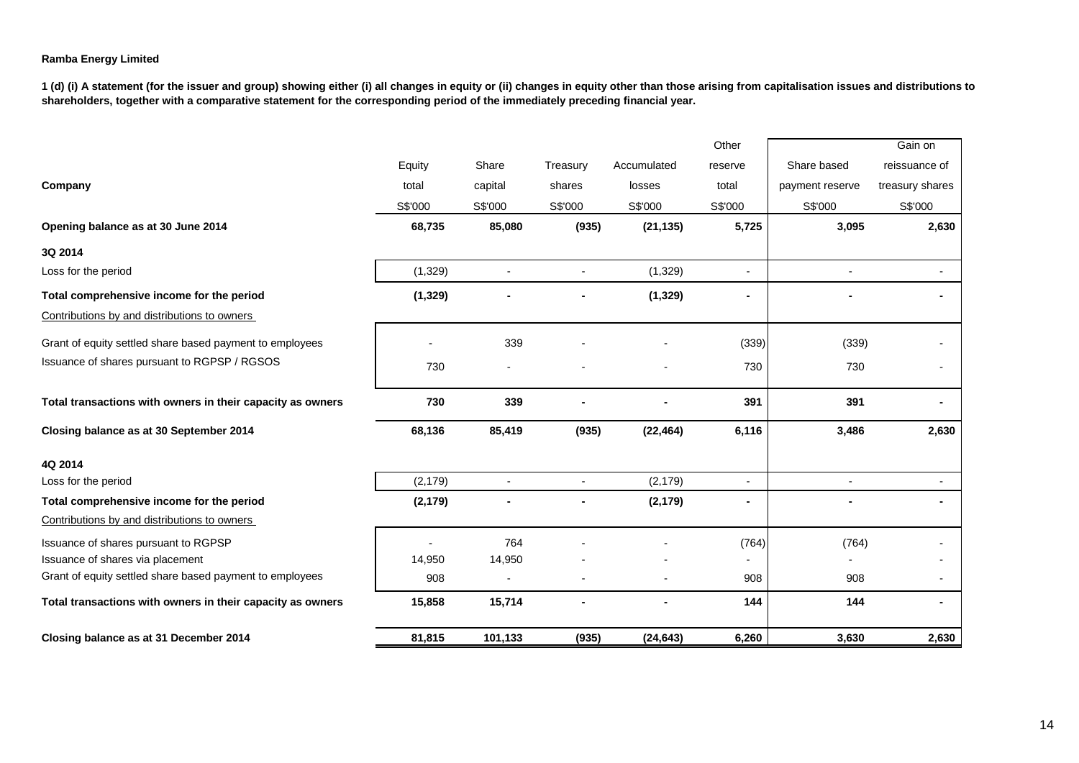|                                                            |          |                |                          |             | Other          |                 | Gain on                  |
|------------------------------------------------------------|----------|----------------|--------------------------|-------------|----------------|-----------------|--------------------------|
|                                                            | Equity   | Share          | Treasury                 | Accumulated | reserve        | Share based     | reissuance of            |
| Company                                                    | total    | capital        | shares                   | losses      | total          | payment reserve | treasury shares          |
|                                                            | S\$'000  | S\$'000        | S\$'000                  | S\$'000     | S\$'000        | S\$'000         | S\$'000                  |
| Opening balance as at 30 June 2014                         | 68,735   | 85,080         | (935)                    | (21, 135)   | 5,725          | 3,095           | 2,630                    |
| 3Q 2014                                                    |          |                |                          |             |                |                 |                          |
| Loss for the period                                        | (1, 329) | $\blacksquare$ | $\overline{\phantom{a}}$ | (1, 329)    | $\blacksquare$ |                 | $\blacksquare$           |
| Total comprehensive income for the period                  | (1, 329) |                |                          | (1, 329)    | ٠              |                 |                          |
| Contributions by and distributions to owners               |          |                |                          |             |                |                 |                          |
| Grant of equity settled share based payment to employees   |          | 339            |                          |             | (339)          | (339)           |                          |
| Issuance of shares pursuant to RGPSP / RGSOS               | 730      |                |                          |             | 730            | 730             |                          |
| Total transactions with owners in their capacity as owners | 730      | 339            |                          |             | 391            | 391             | ۰                        |
| Closing balance as at 30 September 2014                    | 68,136   | 85,419         | (935)                    | (22, 464)   | 6,116          | 3,486           | 2,630                    |
| 4Q 2014                                                    |          |                |                          |             |                |                 |                          |
| Loss for the period                                        | (2, 179) |                |                          | (2, 179)    | $\overline{a}$ |                 | $\overline{\phantom{a}}$ |
| Total comprehensive income for the period                  | (2, 179) |                |                          | (2, 179)    | ۰              |                 |                          |
| Contributions by and distributions to owners               |          |                |                          |             |                |                 |                          |
| Issuance of shares pursuant to RGPSP                       |          | 764            |                          |             | (764)          | (764)           |                          |
| Issuance of shares via placement                           | 14,950   | 14,950         |                          |             |                |                 |                          |
| Grant of equity settled share based payment to employees   | 908      | $\blacksquare$ |                          |             | 908            | 908             | ٠                        |
| Total transactions with owners in their capacity as owners | 15,858   | 15,714         |                          |             | 144            | 144             | ٠                        |
| Closing balance as at 31 December 2014                     | 81,815   | 101,133        | (935)                    | (24, 643)   | 6,260          | 3,630           | 2,630                    |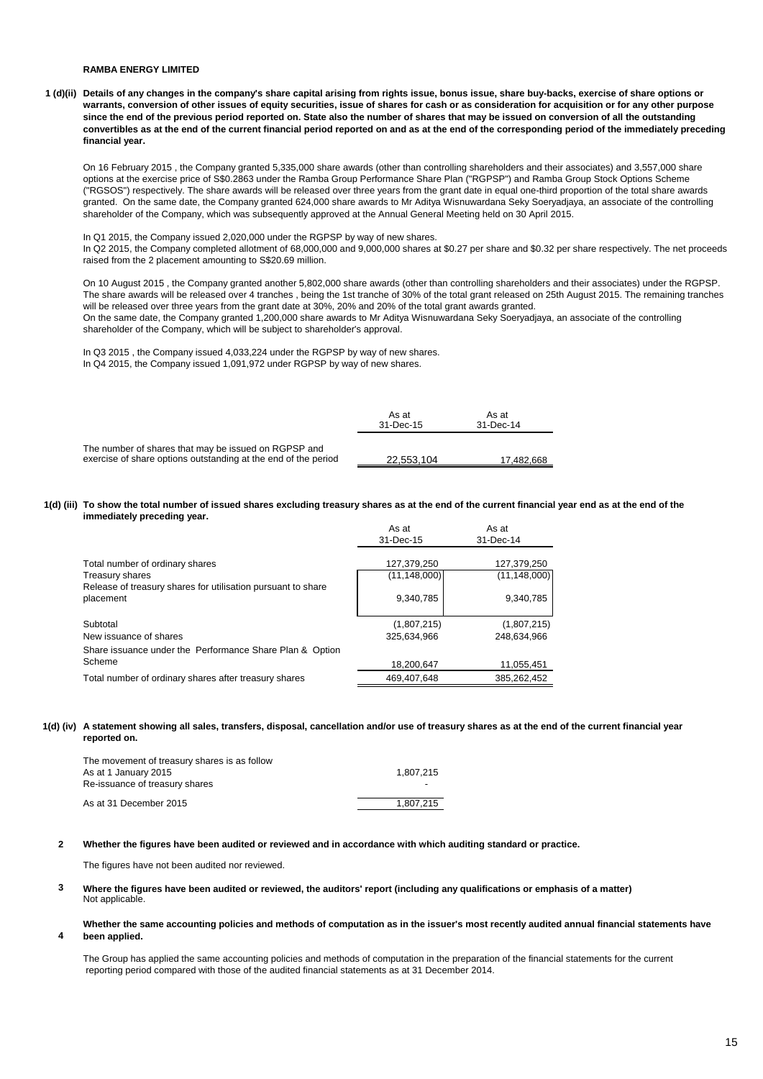#### **RAMBA ENERGY LIMITED**

**1 (d)(ii) Details of any changes in the company's share capital arising from rights issue, bonus issue, share buy-backs, exercise of share options or warrants, conversion of other issues of equity securities, issue of shares for cash or as consideration for acquisition or for any other purpose since the end of the previous period reported on. State also the number of shares that may be issued on conversion of all the outstanding convertibles as at the end of the current financial period reported on and as at the end of the corresponding period of the immediately preceding financial year.**

On 16 February 2015 , the Company granted 5,335,000 share awards (other than controlling shareholders and their associates) and 3,557,000 share options at the exercise price of S\$0.2863 under the Ramba Group Performance Share Plan ("RGPSP") and Ramba Group Stock Options Scheme ("RGSOS") respectively. The share awards will be released over three years from the grant date in equal one-third proportion of the total share awards granted. On the same date, the Company granted 624,000 share awards to Mr Aditya Wisnuwardana Seky Soeryadjaya, an associate of the controlling shareholder of the Company, which was subsequently approved at the Annual General Meeting held on 30 April 2015.

#### In Q1 2015, the Company issued 2,020,000 under the RGPSP by way of new shares.

In Q2 2015, the Company completed allotment of 68,000,000 and 9,000,000 shares at \$0.27 per share and \$0.32 per share respectively. The net proceeds raised from the 2 placement amounting to S\$20.69 million.

On 10 August 2015 , the Company granted another 5,802,000 share awards (other than controlling shareholders and their associates) under the RGPSP. The share awards will be released over 4 tranches , being the 1st tranche of 30% of the total grant released on 25th August 2015. The remaining tranches will be released over three years from the grant date at 30%, 20% and 20% of the total grant awards granted. On the same date, the Company granted 1,200,000 share awards to Mr Aditya Wisnuwardana Seky Soeryadjaya, an associate of the controlling shareholder of the Company, which will be subject to shareholder's approval.

In Q3 2015 , the Company issued 4,033,224 under the RGPSP by way of new shares. In Q4 2015, the Company issued 1,091,972 under RGPSP by way of new shares.

|                                                                                                                        | As at<br>31-Dec-15 | As at<br>31-Dec-14 |
|------------------------------------------------------------------------------------------------------------------------|--------------------|--------------------|
| The number of shares that may be issued on RGPSP and<br>exercise of share options outstanding at the end of the period | 22.553.104         | 17.482.668         |

#### **1(d) (iii) To show the total number of issued shares excluding treasury shares as at the end of the current financial year end as at the end of the immediately preceding year.**

|                                                                           | As at<br>31-Dec-15 | As at<br>31-Dec-14 |
|---------------------------------------------------------------------------|--------------------|--------------------|
| Total number of ordinary shares                                           | 127,379,250        | 127,379,250        |
| Treasury shares                                                           | (11, 148, 000)     | (11, 148, 000)     |
| Release of treasury shares for utilisation pursuant to share<br>placement | 9,340,785          | 9,340,785          |
| Subtotal                                                                  | (1,807,215)        | (1,807,215)        |
| New issuance of shares                                                    | 325.634.966        | 248.634.966        |
| Share issuance under the Performance Share Plan & Option                  |                    |                    |
| Scheme                                                                    | 18,200,647         | 11,055,451         |
| Total number of ordinary shares after treasury shares                     | 469.407.648        | 385,262,452        |

#### **1(d) (iv) A statement showing all sales, transfers, disposal, cancellation and/or use of treasury shares as at the end of the current financial year reported on.**

| The movement of treasury shares is as follow<br>As at 1 January 2015 | 1.807.215                |
|----------------------------------------------------------------------|--------------------------|
| Re-issuance of treasury shares                                       | $\overline{\phantom{0}}$ |
| As at 31 December 2015                                               | 1.807.215                |

#### **2 Whether the figures have been audited or reviewed and in accordance with which auditing standard or practice.**

The figures have not been audited nor reviewed.

- **3** Not applicable. **Where the figures have been audited or reviewed, the auditors' report (including any qualifications or emphasis of a matter)**
- **4 Whether the same accounting policies and methods of computation as in the issuer's most recently audited annual financial statements have been applied.**

The Group has applied the same accounting policies and methods of computation in the preparation of the financial statements for the current reporting period compared with those of the audited financial statements as at 31 December 2014.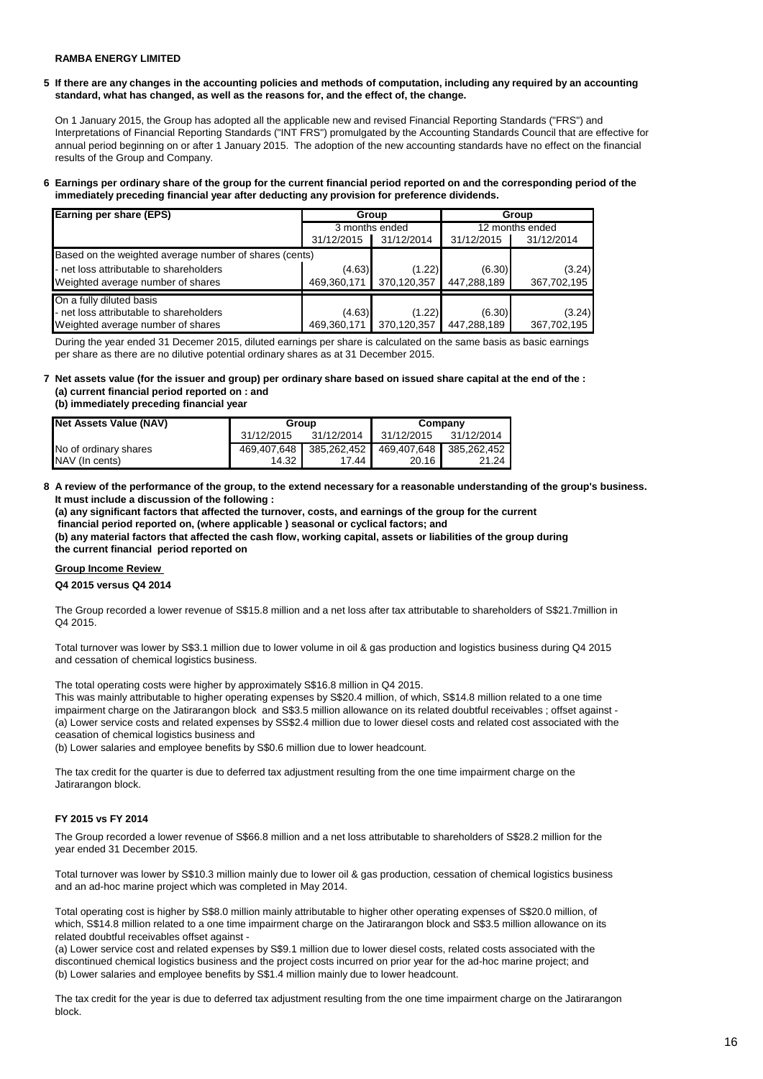### **RAMBA ENERGY LIMITED**

**5 If there are any changes in the accounting policies and methods of computation, including any required by an accounting standard, what has changed, as well as the reasons for, and the effect of, the change.**

On 1 January 2015, the Group has adopted all the applicable new and revised Financial Reporting Standards ("FRS") and Interpretations of Financial Reporting Standards ("INT FRS") promulgated by the Accounting Standards Council that are effective for annual period beginning on or after 1 January 2015. The adoption of the new accounting standards have no effect on the financial results of the Group and Company.

#### **6 Earnings per ordinary share of the group for the current financial period reported on and the corresponding period of the immediately preceding financial year after deducting any provision for preference dividends.**

| <b>Earning per share (EPS)</b>                         |                | Group       | Group       |                 |  |
|--------------------------------------------------------|----------------|-------------|-------------|-----------------|--|
|                                                        | 3 months ended |             |             | 12 months ended |  |
|                                                        | 31/12/2015     | 31/12/2014  | 31/12/2015  | 31/12/2014      |  |
| Based on the weighted average number of shares (cents) |                |             |             |                 |  |
| - net loss attributable to shareholders                | (4.63)         | (1.22)      | (6.30)      | (3.24)          |  |
| Weighted average number of shares                      | 469,360,171    | 370,120,357 | 447,288,189 | 367,702,195     |  |
| On a fully diluted basis                               |                |             |             |                 |  |
| - net loss attributable to shareholders                | (4.63)         | (1.22)      | (6.30)      | (3.24)          |  |
| Weighted average number of shares                      | 469,360,171    | 370,120,357 | 447,288,189 | 367,702,195     |  |

During the year ended 31 Decemer 2015, diluted earnings per share is calculated on the same basis as basic earnings per share as there are no dilutive potential ordinary shares as at 31 December 2015.

### **7 Net assets value (for the issuer and group) per ordinary share based on issued share capital at the end of the : (a) current financial period reported on : and**

**(b) immediately preceding financial year** 

| Net Assets Value (NAV) | Group      |            | Company                                         |            |  |
|------------------------|------------|------------|-------------------------------------------------|------------|--|
|                        | 31/12/2015 | 31/12/2014 | 31/12/2015                                      | 31/12/2014 |  |
| No of ordinary shares  |            |            | 469,407,648 385,262,452 469,407,648 385,262,452 |            |  |
| NAV (In cents)         | 14.32 L    | 17.44      | 20.16                                           | 21.24      |  |

#### **8 A review of the performance of the group, to the extend necessary for a reasonable understanding of the group's business. It must include a discussion of the following :**

**(a) any significant factors that affected the turnover, costs, and earnings of the group for the current financial period reported on, (where applicable ) seasonal or cyclical factors; and (b) any material factors that affected the cash flow, working capital, assets or liabilities of the group during the current financial period reported on** 

### **Group Income Review**

#### **Q4 2015 versus Q4 2014**

The Group recorded a lower revenue of S\$15.8 million and a net loss after tax attributable to shareholders of S\$21.7million in Q4 2015.

Total turnover was lower by S\$3.1 million due to lower volume in oil & gas production and logistics business during Q4 2015 and cessation of chemical logistics business.

The total operating costs were higher by approximately S\$16.8 million in Q4 2015.

This was mainly attributable to higher operating expenses by S\$20.4 million, of which, S\$14.8 million related to a one time impairment charge on the Jatirarangon block and S\$3.5 million allowance on its related doubtful receivables ; offset against -(a) Lower service costs and related expenses by SS\$2.4 million due to lower diesel costs and related cost associated with the ceasation of chemical logistics business and

(b) Lower salaries and employee benefits by S\$0.6 million due to lower headcount.

The tax credit for the quarter is due to deferred tax adjustment resulting from the one time impairment charge on the Jatirarangon block.

### **FY 2015 vs FY 2014**

The Group recorded a lower revenue of S\$66.8 million and a net loss attributable to shareholders of S\$28.2 million for the year ended 31 December 2015.

Total turnover was lower by S\$10.3 million mainly due to lower oil & gas production, cessation of chemical logistics business and an ad-hoc marine project which was completed in May 2014.

Total operating cost is higher by S\$8.0 million mainly attributable to higher other operating expenses of S\$20.0 million, of which, S\$14.8 million related to a one time impairment charge on the Jatirarangon block and S\$3.5 million allowance on its related doubtful receivables offset against -

(a) Lower service cost and related expenses by S\$9.1 million due to lower diesel costs, related costs associated with the discontinued chemical logistics business and the project costs incurred on prior year for the ad-hoc marine project; and (b) Lower salaries and employee benefits by S\$1.4 million mainly due to lower headcount.

The tax credit for the year is due to deferred tax adjustment resulting from the one time impairment charge on the Jatirarangon block.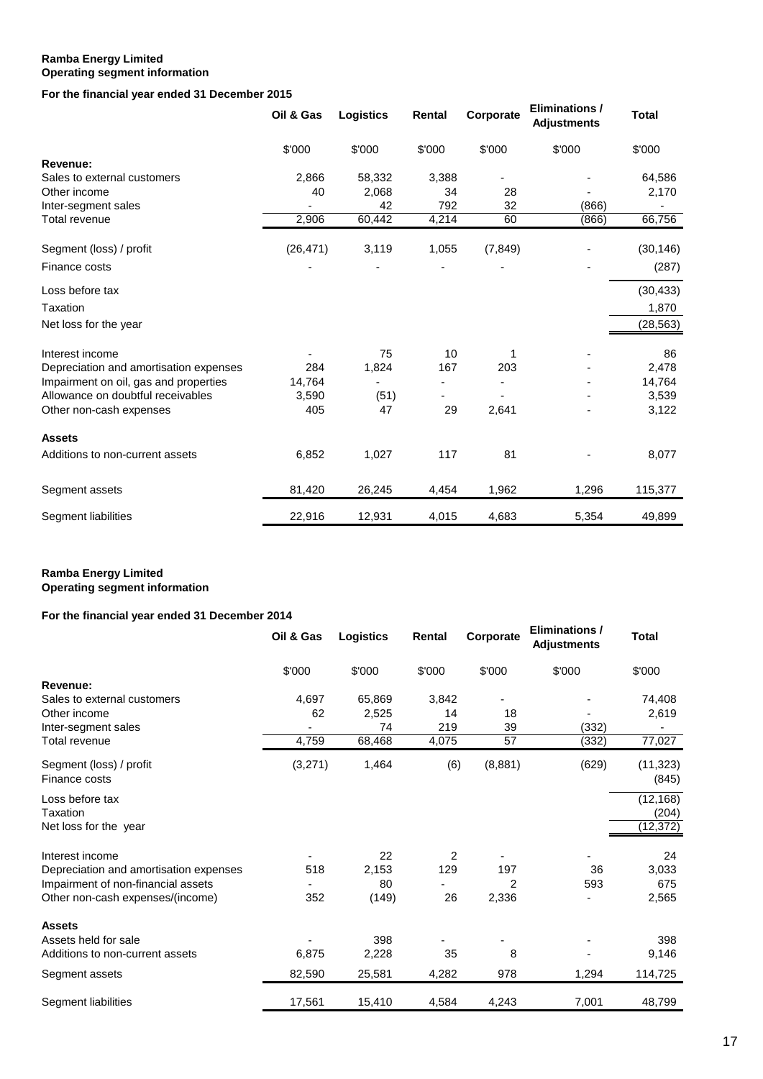### **Ramba Energy Limited Operating segment information**

## **For the financial year ended 31 December 2015**

|                                        | Oil & Gas | <b>Logistics</b> | Rental | Corporate | <b>Eliminations /</b><br><b>Adjustments</b> | <b>Total</b> |
|----------------------------------------|-----------|------------------|--------|-----------|---------------------------------------------|--------------|
|                                        | \$'000    | \$'000           | \$'000 | \$'000    | \$'000                                      | \$'000       |
| Revenue:                               |           |                  |        |           |                                             |              |
| Sales to external customers            | 2,866     | 58,332           | 3,388  |           |                                             | 64,586       |
| Other income                           | 40        | 2,068            | 34     | 28        |                                             | 2,170        |
| Inter-segment sales                    |           | 42               | 792    | 32        | (866)                                       |              |
| Total revenue                          | 2,906     | 60,442           | 4,214  | 60        | (866)                                       | 66,756       |
| Segment (loss) / profit                | (26, 471) | 3,119            | 1,055  | (7, 849)  |                                             | (30, 146)    |
| Finance costs                          |           |                  |        |           |                                             | (287)        |
| Loss before tax                        |           |                  |        |           |                                             | (30, 433)    |
| Taxation                               |           |                  |        |           |                                             | 1,870        |
| Net loss for the year                  |           |                  |        |           |                                             | (28, 563)    |
| Interest income                        |           | 75               | 10     |           |                                             | 86           |
| Depreciation and amortisation expenses | 284       | 1,824            | 167    | 203       |                                             | 2,478        |
| Impairment on oil, gas and properties  | 14,764    |                  |        |           |                                             | 14,764       |
| Allowance on doubtful receivables      | 3,590     | (51)             |        |           |                                             | 3,539        |
| Other non-cash expenses                | 405       | 47               | 29     | 2,641     |                                             | 3,122        |
| <b>Assets</b>                          |           |                  |        |           |                                             |              |
| Additions to non-current assets        | 6,852     | 1,027            | 117    | 81        |                                             | 8,077        |
| Segment assets                         | 81,420    | 26,245           | 4,454  | 1,962     | 1,296                                       | 115,377      |
| Segment liabilities                    | 22,916    | 12,931           | 4,015  | 4,683     | 5,354                                       | 49,899       |

### **Ramba Energy Limited Operating segment information**

# **For the financial year ended 31 December 2014**

|                                          | Oil & Gas | <b>Logistics</b> | Rental | Corporate | <b>Eliminations /</b><br><b>Adjustments</b> | <b>Total</b>       |
|------------------------------------------|-----------|------------------|--------|-----------|---------------------------------------------|--------------------|
|                                          | \$'000    | \$'000           | \$'000 | \$'000    | \$'000                                      | \$'000             |
| Revenue:                                 |           |                  |        |           |                                             |                    |
| Sales to external customers              | 4,697     | 65,869           | 3,842  |           |                                             | 74,408             |
| Other income                             | 62        | 2,525            | 14     | 18        |                                             | 2,619              |
| Inter-segment sales                      |           | 74               | 219    | 39        | (332)                                       |                    |
| Total revenue                            | 4,759     | 68,468           | 4,075  | 57        | (332)                                       | 77,027             |
| Segment (loss) / profit<br>Finance costs | (3,271)   | 1,464            | (6)    | (8,881)   | (629)                                       | (11, 323)<br>(845) |
| Loss before tax                          |           |                  |        |           |                                             | (12, 168)          |
| Taxation                                 |           |                  |        |           |                                             | (204)              |
| Net loss for the year                    |           |                  |        |           |                                             | (12, 372)          |
| Interest income                          |           | 22               | 2      |           |                                             | 24                 |
| Depreciation and amortisation expenses   | 518       | 2,153            | 129    | 197       | 36                                          | 3,033              |
| Impairment of non-financial assets       |           | 80               |        | 2         | 593                                         | 675                |
| Other non-cash expenses/(income)         | 352       | (149)            | 26     | 2,336     |                                             | 2,565              |
| <b>Assets</b>                            |           |                  |        |           |                                             |                    |
| Assets held for sale                     |           | 398              |        |           |                                             | 398                |
| Additions to non-current assets          | 6,875     | 2,228            | 35     | 8         |                                             | 9,146              |
| Segment assets                           | 82,590    | 25,581           | 4,282  | 978       | 1,294                                       | 114,725            |
| Segment liabilities                      | 17,561    | 15,410           | 4,584  | 4,243     | 7,001                                       | 48,799             |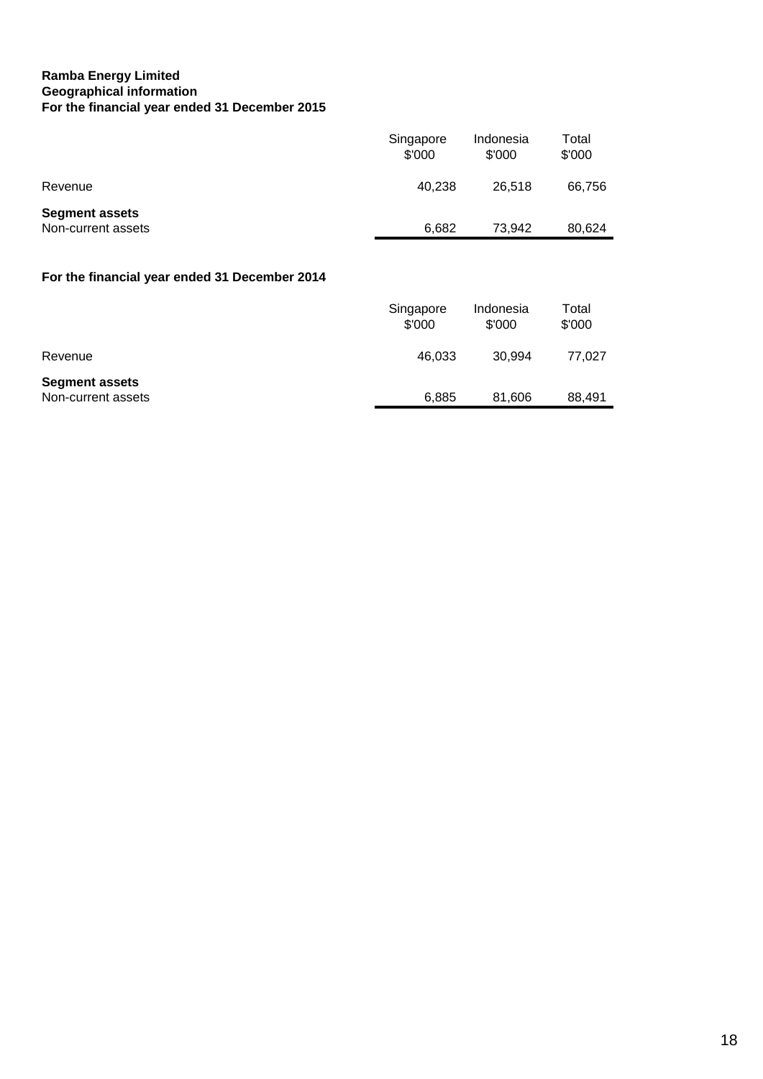# **Ramba Energy Limited Geographical information For the financial year ended 31 December 2015**

|                                             | Singapore<br>\$'000 | Indonesia<br>\$'000 | Total<br>\$'000 |
|---------------------------------------------|---------------------|---------------------|-----------------|
| Revenue                                     | 40.238              | 26.518              | 66,756          |
| <b>Segment assets</b><br>Non-current assets | 6,682               | 73.942              | 80.624          |

# **For the financial year ended 31 December 2014**

|                                             | Singapore<br>\$'000 | Indonesia<br>\$'000 | Total<br>\$'000 |
|---------------------------------------------|---------------------|---------------------|-----------------|
| Revenue                                     | 46.033              | 30.994              | 77.027          |
| <b>Segment assets</b><br>Non-current assets | 6.885               | 81,606              | 88,491          |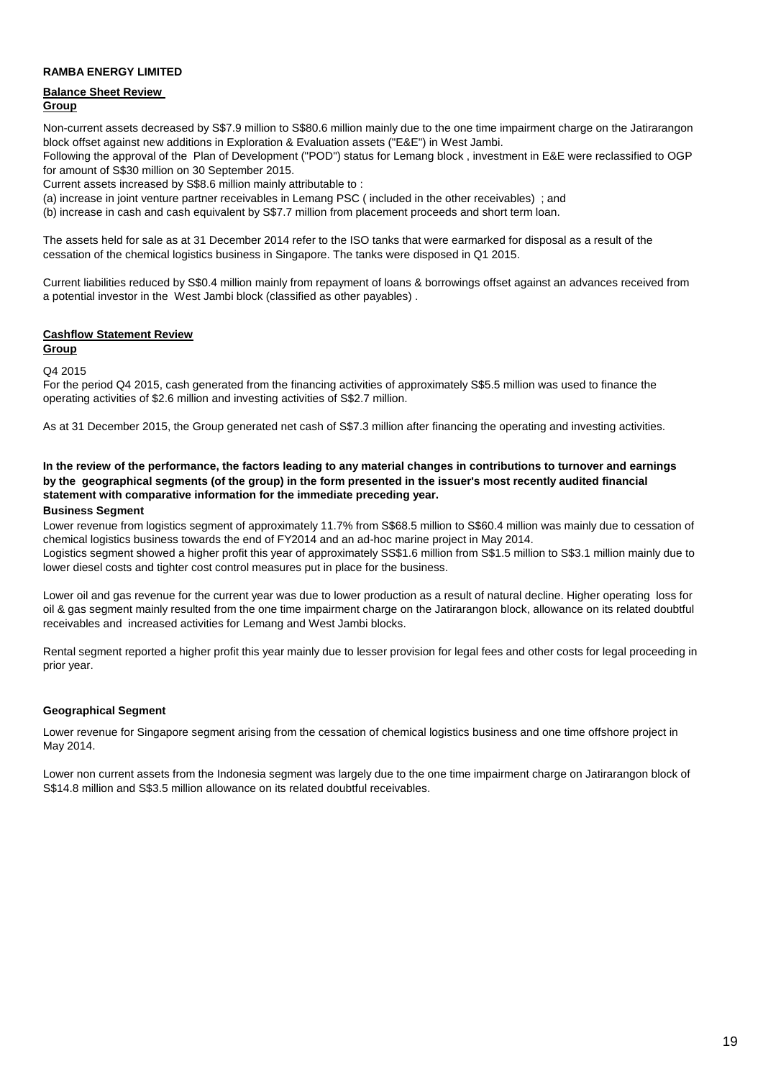### **RAMBA ENERGY LIMITED**

### **Balance Sheet Review Group**

Non-current assets decreased by S\$7.9 million to S\$80.6 million mainly due to the one time impairment charge on the Jatirarangon block offset against new additions in Exploration & Evaluation assets ("E&E") in West Jambi.

Following the approval of the Plan of Development ("POD") status for Lemang block , investment in E&E were reclassified to OGP for amount of S\$30 million on 30 September 2015.

Current assets increased by S\$8.6 million mainly attributable to :

(a) increase in joint venture partner receivables in Lemang PSC ( included in the other receivables) ; and

(b) increase in cash and cash equivalent by S\$7.7 million from placement proceeds and short term loan.

The assets held for sale as at 31 December 2014 refer to the ISO tanks that were earmarked for disposal as a result of the cessation of the chemical logistics business in Singapore. The tanks were disposed in Q1 2015.

Current liabilities reduced by S\$0.4 million mainly from repayment of loans & borrowings offset against an advances received from a potential investor in the West Jambi block (classified as other payables) .

### **Cashflow Statement Review**

**Group**

Q4 2015

For the period Q4 2015, cash generated from the financing activities of approximately S\$5.5 million was used to finance the operating activities of \$2.6 million and investing activities of S\$2.7 million.

As at 31 December 2015, the Group generated net cash of S\$7.3 million after financing the operating and investing activities.

# **In the review of the performance, the factors leading to any material changes in contributions to turnover and earnings by the geographical segments (of the group) in the form presented in the issuer's most recently audited financial statement with comparative information for the immediate preceding year.**

### **Business Segment**

Lower revenue from logistics segment of approximately 11.7% from S\$68.5 million to S\$60.4 million was mainly due to cessation of chemical logistics business towards the end of FY2014 and an ad-hoc marine project in May 2014.

Logistics segment showed a higher profit this year of approximately SS\$1.6 million from S\$1.5 million to S\$3.1 million mainly due to lower diesel costs and tighter cost control measures put in place for the business.

Lower oil and gas revenue for the current year was due to lower production as a result of natural decline. Higher operating loss for oil & gas segment mainly resulted from the one time impairment charge on the Jatirarangon block, allowance on its related doubtful receivables and increased activities for Lemang and West Jambi blocks.

Rental segment reported a higher profit this year mainly due to lesser provision for legal fees and other costs for legal proceeding in prior year.

### **Geographical Segment**

Lower revenue for Singapore segment arising from the cessation of chemical logistics business and one time offshore project in May 2014.

Lower non current assets from the Indonesia segment was largely due to the one time impairment charge on Jatirarangon block of S\$14.8 million and S\$3.5 million allowance on its related doubtful receivables.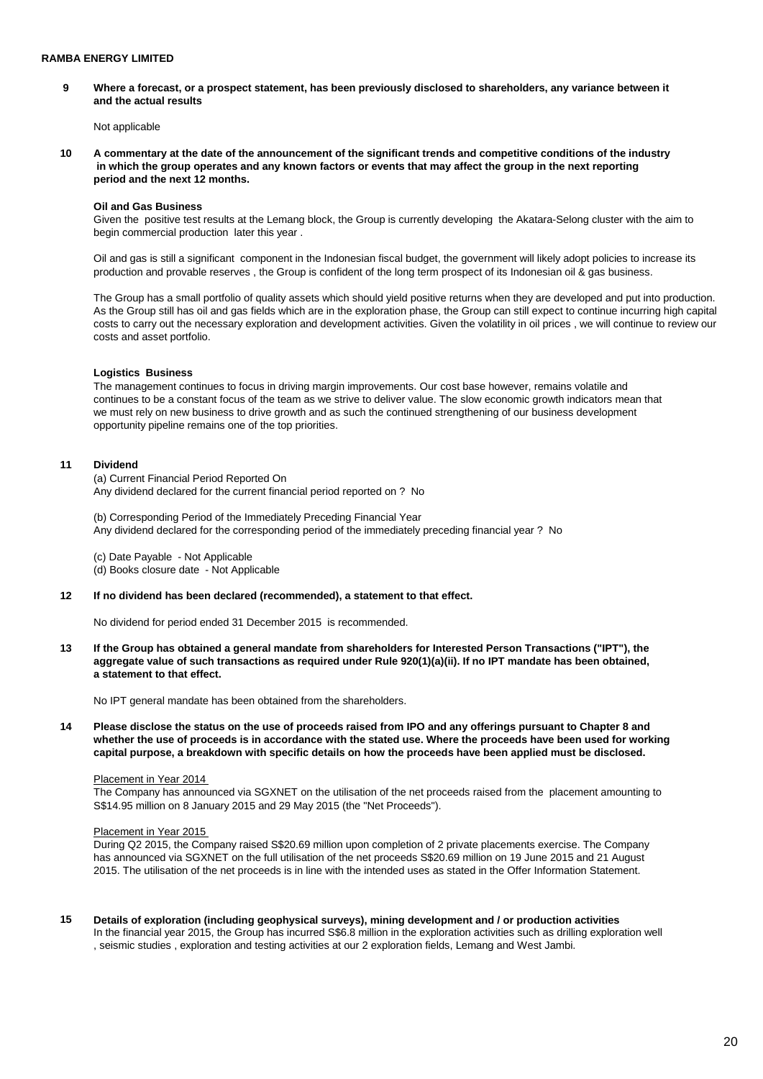**9 Where a forecast, or a prospect statement, has been previously disclosed to shareholders, any variance between it and the actual results** 

Not applicable

**10 A commentary at the date of the announcement of the significant trends and competitive conditions of the industry in which the group operates and any known factors or events that may affect the group in the next reporting period and the next 12 months.** 

### **Oil and Gas Business**

Given the positive test results at the Lemang block, the Group is currently developing the Akatara-Selong cluster with the aim to begin commercial production later this year .

Oil and gas is still a significant component in the Indonesian fiscal budget, the government will likely adopt policies to increase its production and provable reserves , the Group is confident of the long term prospect of its Indonesian oil & gas business.

The Group has a small portfolio of quality assets which should yield positive returns when they are developed and put into production. As the Group still has oil and gas fields which are in the exploration phase, the Group can still expect to continue incurring high capital costs to carry out the necessary exploration and development activities. Given the volatility in oil prices , we will continue to review our costs and asset portfolio.

#### **Logistics Business**

The management continues to focus in driving margin improvements. Our cost base however, remains volatile and continues to be a constant focus of the team as we strive to deliver value. The slow economic growth indicators mean that we must rely on new business to drive growth and as such the continued strengthening of our business development opportunity pipeline remains one of the top priorities.

### **11 Dividend**

(a) Current Financial Period Reported On Any dividend declared for the current financial period reported on ? No

(b) Corresponding Period of the Immediately Preceding Financial Year Any dividend declared for the corresponding period of the immediately preceding financial year ? No

(c) Date Payable - Not Applicable

(d) Books closure date - Not Applicable

### **12 If no dividend has been declared (recommended), a statement to that effect.**

No dividend for period ended 31 December 2015 is recommended.

**13 If the Group has obtained a general mandate from shareholders for Interested Person Transactions ("IPT"), the aggregate value of such transactions as required under Rule 920(1)(a)(ii). If no IPT mandate has been obtained, a statement to that effect.** 

No IPT general mandate has been obtained from the shareholders.

**14 Please disclose the status on the use of proceeds raised from IPO and any offerings pursuant to Chapter 8 and whether the use of proceeds is in accordance with the stated use. Where the proceeds have been used for working capital purpose, a breakdown with specific details on how the proceeds have been applied must be disclosed.** 

#### Placement in Year 2014

The Company has announced via SGXNET on the utilisation of the net proceeds raised from the placement amounting to S\$14.95 million on 8 January 2015 and 29 May 2015 (the "Net Proceeds").

### Placement in Year 2015

During Q2 2015, the Company raised S\$20.69 million upon completion of 2 private placements exercise. The Company has announced via SGXNET on the full utilisation of the net proceeds S\$20.69 million on 19 June 2015 and 21 August 2015. The utilisation of the net proceeds is in line with the intended uses as stated in the Offer Information Statement.

**15 Details of exploration (including geophysical surveys), mining development and / or production activities**  In the financial year 2015, the Group has incurred S\$6.8 million in the exploration activities such as drilling exploration well , seismic studies , exploration and testing activities at our 2 exploration fields, Lemang and West Jambi.